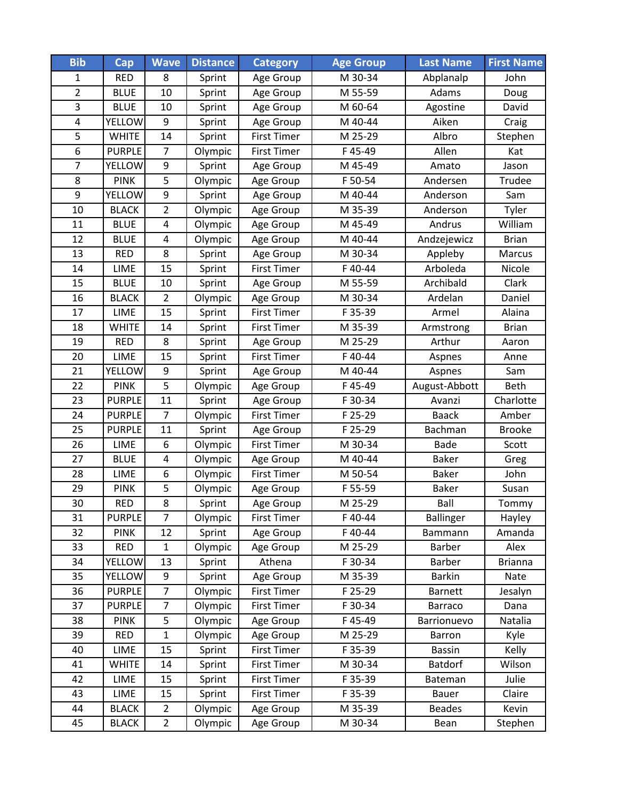| <b>Bib</b>              | $\overline{\text{Cap}}$ | <b>Wave</b>             | <b>Distance</b> | <b>Category</b>    | <b>Age Group</b> | <b>Last Name</b> | <b>First Name</b> |
|-------------------------|-------------------------|-------------------------|-----------------|--------------------|------------------|------------------|-------------------|
| $\mathbf{1}$            | <b>RED</b>              | 8                       | Sprint          | Age Group          | M 30-34          | Abplanalp        | John              |
| $\overline{2}$          | <b>BLUE</b>             | 10                      | Sprint          | Age Group          | M 55-59          | Adams            | Doug              |
| 3                       | <b>BLUE</b>             | 10                      | Sprint          | Age Group          | M 60-64          | Agostine         | David             |
| $\overline{\mathbf{4}}$ | <b>YELLOW</b>           | 9                       | Sprint          | Age Group          | M 40-44          | Aiken            | Craig             |
| 5                       | <b>WHITE</b>            | 14                      | Sprint          | <b>First Timer</b> | M 25-29          | Albro            | Stephen           |
| 6                       | <b>PURPLE</b>           | $\overline{7}$          | Olympic         | <b>First Timer</b> | F45-49           | Allen            | Kat               |
| $\overline{7}$          | YELLOW                  | 9                       | Sprint          | Age Group          | M 45-49          | Amato            | Jason             |
| 8                       | <b>PINK</b>             | 5                       | Olympic         | Age Group          | F 50-54          | Andersen         | Trudee            |
| 9                       | YELLOW                  | 9                       | Sprint          | Age Group          | M 40-44          | Anderson         | Sam               |
| 10                      | <b>BLACK</b>            | $\overline{2}$          | Olympic         | Age Group          | M 35-39          | Anderson         | Tyler             |
| 11                      | <b>BLUE</b>             | $\overline{\mathbf{4}}$ | Olympic         | Age Group          | M 45-49          | Andrus           | William           |
| 12                      | <b>BLUE</b>             | 4                       | Olympic         | Age Group          | M 40-44          | Andzejewicz      | <b>Brian</b>      |
| 13                      | <b>RED</b>              | 8                       | Sprint          | Age Group          | M 30-34          | Appleby          | Marcus            |
| 14                      | <b>LIME</b>             | 15                      | Sprint          | First Timer        | F40-44           | Arboleda         | Nicole            |
| 15                      | <b>BLUE</b>             | 10                      | Sprint          | Age Group          | M 55-59          | Archibald        | Clark             |
| 16                      | <b>BLACK</b>            | $\overline{2}$          | Olympic         | Age Group          | M 30-34          | Ardelan          | Daniel            |
| 17                      | LIME                    | 15                      | Sprint          | <b>First Timer</b> | F 35-39          | Armel            | Alaina            |
| 18                      | <b>WHITE</b>            | 14                      | Sprint          | <b>First Timer</b> | M 35-39          | Armstrong        | <b>Brian</b>      |
| 19                      | <b>RED</b>              | 8                       | Sprint          | Age Group          | M 25-29          | Arthur           | Aaron             |
| 20                      | LIME                    | 15                      | Sprint          | <b>First Timer</b> | F40-44           | Aspnes           | Anne              |
| 21                      | YELLOW                  | 9                       | Sprint          | Age Group          | M 40-44          | Aspnes           | Sam               |
| 22                      | <b>PINK</b>             | 5                       | Olympic         | Age Group          | F45-49           | August-Abbott    | <b>Beth</b>       |
| 23                      | <b>PURPLE</b>           | 11                      | Sprint          | Age Group          | F 30-34          | Avanzi           | Charlotte         |
| 24                      | <b>PURPLE</b>           | $\overline{7}$          | Olympic         | <b>First Timer</b> | F 25-29          | <b>Baack</b>     | Amber             |
| 25                      | <b>PURPLE</b>           | 11                      | Sprint          | Age Group          | F 25-29          | Bachman          | <b>Brooke</b>     |
| 26                      | LIME                    | 6                       | Olympic         | <b>First Timer</b> | M 30-34          | <b>Bade</b>      | Scott             |
| 27                      | <b>BLUE</b>             | $\overline{\mathbf{4}}$ | Olympic         | Age Group          | M 40-44          | <b>Baker</b>     | Greg              |
| 28                      | LIME                    | 6                       | Olympic         | <b>First Timer</b> | M 50-54          | <b>Baker</b>     | John              |
| 29                      | <b>PINK</b>             | 5                       | Olympic         | Age Group          | F 55-59          | <b>Baker</b>     | Susan             |
| 30                      | <b>RED</b>              | 8                       | Sprint          | Age Group          | M 25-29          | Ball             | Tommy             |
| 31                      | <b>PURPLE</b>           | $\overline{7}$          | Olympic         | <b>First Timer</b> | F40-44           | <b>Ballinger</b> | Hayley            |
| 32                      | <b>PINK</b>             | 12                      | Sprint          | Age Group          | F 40-44          | Bammann          | Amanda            |
| 33                      | <b>RED</b>              | $\mathbf{1}$            | Olympic         | Age Group          | M 25-29          | Barber           | Alex              |
| 34                      | <b>YELLOW</b>           | 13                      | Sprint          | Athena             | F 30-34          | Barber           | <b>Brianna</b>    |
| 35                      | <b>YELLOW</b>           | 9                       | Sprint          | Age Group          | M 35-39          | <b>Barkin</b>    | Nate              |
| 36                      | <b>PURPLE</b>           | $\overline{7}$          | Olympic         | <b>First Timer</b> | F 25-29          | <b>Barnett</b>   | Jesalyn           |
| 37                      | <b>PURPLE</b>           | $\overline{7}$          | Olympic         | <b>First Timer</b> | F 30-34          | Barraco          | Dana              |
| 38                      | <b>PINK</b>             | 5                       | Olympic         | Age Group          | F45-49           | Barrionuevo      | Natalia           |
| 39                      | <b>RED</b>              | $\mathbf 1$             | Olympic         | Age Group          | M 25-29          | Barron           | Kyle              |
| 40                      | LIME                    | 15                      | Sprint          | First Timer        | F 35-39          | <b>Bassin</b>    | Kelly             |
| 41                      | <b>WHITE</b>            | 14                      | Sprint          | <b>First Timer</b> | M 30-34          | <b>Batdorf</b>   | Wilson            |
| 42                      | LIME                    | 15                      | Sprint          | <b>First Timer</b> | F 35-39          | Bateman          | Julie             |
| 43                      | LIME                    | 15                      | Sprint          | <b>First Timer</b> | F 35-39          | <b>Bauer</b>     | Claire            |
| 44                      | <b>BLACK</b>            | $\overline{2}$          | Olympic         | Age Group          | M 35-39          | <b>Beades</b>    | Kevin             |
| 45                      | <b>BLACK</b>            | $\overline{2}$          | Olympic         | Age Group          | M 30-34          | Bean             | Stephen           |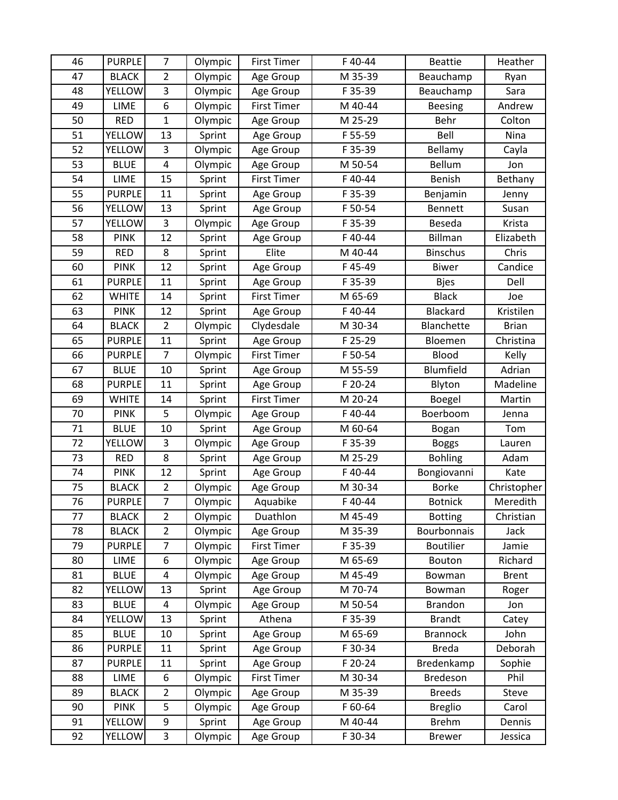| 46 | <b>PURPLE</b> | 7                       | Olympic | <b>First Timer</b> | F40-44  | <b>Beattie</b>   | Heather      |
|----|---------------|-------------------------|---------|--------------------|---------|------------------|--------------|
| 47 | <b>BLACK</b>  | $\overline{2}$          | Olympic | Age Group          | M 35-39 | Beauchamp        | Ryan         |
| 48 | <b>YELLOW</b> | 3                       | Olympic | Age Group          | F 35-39 | Beauchamp        | Sara         |
| 49 | LIME          | 6                       | Olympic | <b>First Timer</b> | M 40-44 | <b>Beesing</b>   | Andrew       |
| 50 | <b>RED</b>    | $\mathbf 1$             | Olympic | Age Group          | M 25-29 | Behr             | Colton       |
| 51 | <b>YELLOW</b> | 13                      | Sprint  | Age Group          | F 55-59 | Bell             | Nina         |
| 52 | <b>YELLOW</b> | 3                       | Olympic | Age Group          | F 35-39 | Bellamy          | Cayla        |
| 53 | <b>BLUE</b>   | $\overline{\mathbf{4}}$ | Olympic | Age Group          | M 50-54 | Bellum           | Jon          |
| 54 | LIME          | 15                      | Sprint  | <b>First Timer</b> | F40-44  | Benish           | Bethany      |
| 55 | <b>PURPLE</b> | 11                      | Sprint  | Age Group          | F 35-39 | Benjamin         | Jenny        |
| 56 | <b>YELLOW</b> | 13                      | Sprint  | Age Group          | F 50-54 | <b>Bennett</b>   | Susan        |
| 57 | YELLOW        | $\overline{3}$          | Olympic | Age Group          | F 35-39 | Beseda           | Krista       |
| 58 | <b>PINK</b>   | 12                      | Sprint  | Age Group          | F 40-44 | <b>Billman</b>   | Elizabeth    |
| 59 | <b>RED</b>    | 8                       | Sprint  | Elite              | M 40-44 | <b>Binschus</b>  | Chris        |
| 60 | <b>PINK</b>   | 12                      | Sprint  | Age Group          | F45-49  | <b>Biwer</b>     | Candice      |
| 61 | <b>PURPLE</b> | 11                      | Sprint  | Age Group          | F 35-39 | <b>Bjes</b>      | Dell         |
| 62 | <b>WHITE</b>  | 14                      | Sprint  | <b>First Timer</b> | M 65-69 | <b>Black</b>     | Joe          |
| 63 | <b>PINK</b>   | 12                      | Sprint  | Age Group          | F40-44  | Blackard         | Kristilen    |
| 64 | <b>BLACK</b>  | $\overline{2}$          | Olympic | Clydesdale         | M 30-34 | Blanchette       | <b>Brian</b> |
| 65 | <b>PURPLE</b> | 11                      | Sprint  | Age Group          | F 25-29 | Bloemen          | Christina    |
| 66 | <b>PURPLE</b> | $\overline{7}$          | Olympic | <b>First Timer</b> | F 50-54 | Blood            | Kelly        |
| 67 | <b>BLUE</b>   | 10                      | Sprint  | Age Group          | M 55-59 | Blumfield        | Adrian       |
| 68 | <b>PURPLE</b> | 11                      | Sprint  | Age Group          | F 20-24 | Blyton           | Madeline     |
| 69 | <b>WHITE</b>  | 14                      | Sprint  | <b>First Timer</b> | M 20-24 | Boegel           | Martin       |
| 70 | <b>PINK</b>   | 5                       | Olympic | Age Group          | F40-44  | Boerboom         | Jenna        |
| 71 | <b>BLUE</b>   | 10                      | Sprint  | Age Group          | M 60-64 | Bogan            | Tom          |
| 72 | <b>YELLOW</b> | 3                       | Olympic | Age Group          | F 35-39 | <b>Boggs</b>     | Lauren       |
| 73 | <b>RED</b>    | 8                       | Sprint  | Age Group          | M 25-29 | <b>Bohling</b>   | Adam         |
| 74 | <b>PINK</b>   | 12                      | Sprint  | Age Group          | F40-44  | Bongiovanni      | Kate         |
| 75 | <b>BLACK</b>  | $\overline{2}$          | Olympic | Age Group          | M 30-34 | <b>Borke</b>     | Christopher  |
| 76 | <b>PURPLE</b> | $\overline{7}$          | Olympic | Aquabike           | F40-44  | <b>Botnick</b>   | Meredith     |
| 77 | <b>BLACK</b>  | $\overline{2}$          | Olympic | Duathlon           | M 45-49 | <b>Botting</b>   | Christian    |
| 78 | <b>BLACK</b>  | $\overline{2}$          | Olympic | Age Group          | M 35-39 | Bourbonnais      | Jack         |
| 79 | <b>PURPLE</b> | 7                       | Olympic | First Timer        | F 35-39 | <b>Boutilier</b> | Jamie        |
| 80 | LIME          | 6                       | Olympic | Age Group          | M 65-69 | Bouton           | Richard      |
| 81 | <b>BLUE</b>   | 4                       | Olympic | Age Group          | M 45-49 | Bowman           | <b>Brent</b> |
| 82 | <b>YELLOW</b> | 13                      | Sprint  | Age Group          | M 70-74 | Bowman           | Roger        |
| 83 | <b>BLUE</b>   | $\overline{\mathbf{4}}$ | Olympic | Age Group          | M 50-54 | <b>Brandon</b>   | Jon          |
| 84 | YELLOW        | 13                      | Sprint  | Athena             | F 35-39 | <b>Brandt</b>    | Catey        |
| 85 | <b>BLUE</b>   | 10                      | Sprint  | Age Group          | M 65-69 | <b>Brannock</b>  | John         |
| 86 | <b>PURPLE</b> | 11                      | Sprint  | Age Group          | F 30-34 | <b>Breda</b>     | Deborah      |
| 87 | <b>PURPLE</b> | 11                      | Sprint  | Age Group          | F 20-24 | Bredenkamp       | Sophie       |
| 88 | LIME          | 6                       | Olympic | First Timer        | M 30-34 | Bredeson         | Phil         |
| 89 | <b>BLACK</b>  | $\overline{2}$          | Olympic | Age Group          | M 35-39 | <b>Breeds</b>    | Steve        |
| 90 | <b>PINK</b>   | 5                       | Olympic | Age Group          | F 60-64 | <b>Breglio</b>   | Carol        |
| 91 | YELLOW        | 9                       | Sprint  | Age Group          | M 40-44 | <b>Brehm</b>     | Dennis       |
| 92 | <b>YELLOW</b> | 3                       | Olympic | Age Group          | F 30-34 | <b>Brewer</b>    | Jessica      |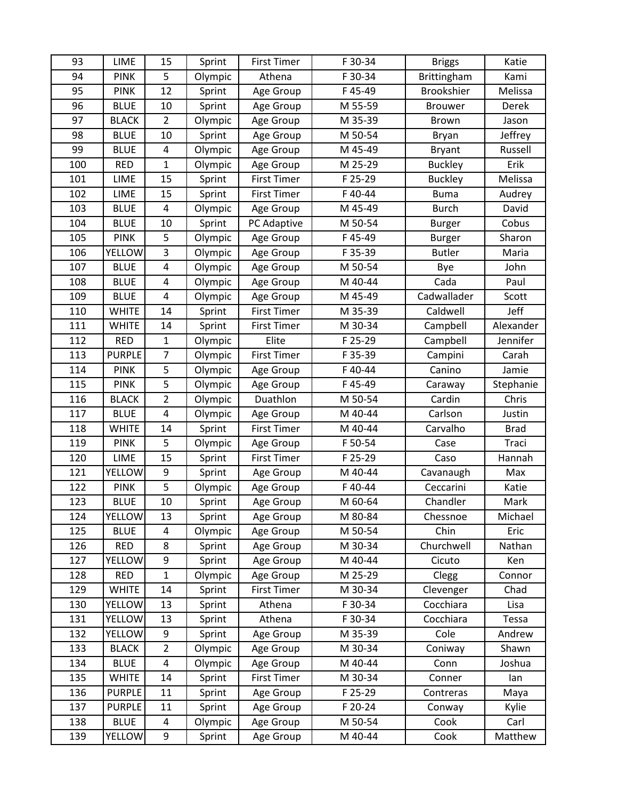| 93  | <b>LIME</b>   | 15                      | Sprint  | <b>First Timer</b> | F 30-34 | <b>Briggs</b>  | Katie       |
|-----|---------------|-------------------------|---------|--------------------|---------|----------------|-------------|
| 94  | <b>PINK</b>   | 5                       | Olympic | Athena             | F 30-34 | Brittingham    | Kami        |
| 95  | <b>PINK</b>   | 12                      | Sprint  | Age Group          | F45-49  | Brookshier     | Melissa     |
| 96  | <b>BLUE</b>   | 10                      | Sprint  | Age Group          | M 55-59 | <b>Brouwer</b> | Derek       |
| 97  | <b>BLACK</b>  | $\overline{2}$          | Olympic | Age Group          | M 35-39 | <b>Brown</b>   | Jason       |
| 98  | <b>BLUE</b>   | 10                      | Sprint  | Age Group          | M 50-54 | Bryan          | Jeffrey     |
| 99  | <b>BLUE</b>   | $\overline{\mathbf{4}}$ | Olympic | Age Group          | M 45-49 | <b>Bryant</b>  | Russell     |
| 100 | <b>RED</b>    | $\mathbf{1}$            | Olympic | Age Group          | M 25-29 | <b>Buckley</b> | Erik        |
| 101 | LIME          | 15                      | Sprint  | <b>First Timer</b> | F 25-29 | <b>Buckley</b> | Melissa     |
| 102 | LIME          | 15                      | Sprint  | <b>First Timer</b> | F40-44  | <b>Buma</b>    | Audrey      |
| 103 | <b>BLUE</b>   | $\overline{4}$          | Olympic | Age Group          | M 45-49 | <b>Burch</b>   | David       |
| 104 | <b>BLUE</b>   | 10                      | Sprint  | PC Adaptive        | M 50-54 | Burger         | Cobus       |
| 105 | <b>PINK</b>   | 5                       | Olympic | Age Group          | F45-49  | <b>Burger</b>  | Sharon      |
| 106 | YELLOW        | 3                       | Olympic | Age Group          | F 35-39 | <b>Butler</b>  | Maria       |
| 107 | <b>BLUE</b>   | $\overline{\mathbf{4}}$ | Olympic | Age Group          | M 50-54 | Bye            | John        |
| 108 | <b>BLUE</b>   | $\overline{4}$          | Olympic | Age Group          | M 40-44 | Cada           | Paul        |
| 109 | <b>BLUE</b>   | $\overline{\mathbf{4}}$ | Olympic | Age Group          | M 45-49 | Cadwallader    | Scott       |
| 110 | <b>WHITE</b>  | 14                      | Sprint  | <b>First Timer</b> | M 35-39 | Caldwell       | Jeff        |
| 111 | <b>WHITE</b>  | 14                      | Sprint  | <b>First Timer</b> | M 30-34 | Campbell       | Alexander   |
| 112 | <b>RED</b>    | $\mathbf{1}$            | Olympic | Elite              | F 25-29 | Campbell       | Jennifer    |
| 113 | <b>PURPLE</b> | $\overline{7}$          | Olympic | <b>First Timer</b> | F 35-39 | Campini        | Carah       |
| 114 | <b>PINK</b>   | 5                       | Olympic | Age Group          | F40-44  | Canino         | Jamie       |
| 115 | <b>PINK</b>   | 5                       | Olympic | Age Group          | F45-49  | Caraway        | Stephanie   |
| 116 | <b>BLACK</b>  | $\overline{2}$          | Olympic | Duathlon           | M 50-54 | Cardin         | Chris       |
| 117 | <b>BLUE</b>   | 4                       | Olympic | Age Group          | M 40-44 | Carlson        | Justin      |
| 118 | <b>WHITE</b>  | 14                      | Sprint  | <b>First Timer</b> | M 40-44 | Carvalho       | <b>Brad</b> |
| 119 | <b>PINK</b>   | 5                       | Olympic | Age Group          | F 50-54 | Case           | Traci       |
| 120 | LIME          | 15                      | Sprint  | <b>First Timer</b> | F 25-29 | Caso           | Hannah      |
| 121 | YELLOW        | 9                       | Sprint  | Age Group          | M 40-44 | Cavanaugh      | Max         |
| 122 | <b>PINK</b>   | 5                       | Olympic | Age Group          | F 40-44 | Ceccarini      | Katie       |
| 123 | <b>BLUE</b>   | 10                      | Sprint  | Age Group          | M 60-64 | Chandler       | Mark        |
| 124 | <b>YELLOW</b> | 13                      | Sprint  | Age Group          | M 80-84 | Chessnoe       | Michael     |
| 125 | <b>BLUE</b>   | 4                       | Olympic | Age Group          | M 50-54 | Chin           | Eric        |
| 126 | <b>RED</b>    | 8                       | Sprint  | Age Group          | M 30-34 | Churchwell     | Nathan      |
| 127 | <b>YELLOW</b> | 9                       | Sprint  | Age Group          | M 40-44 | Cicuto         | Ken         |
| 128 | <b>RED</b>    | $\mathbf{1}$            | Olympic | Age Group          | M 25-29 | Clegg          | Connor      |
| 129 | <b>WHITE</b>  | 14                      | Sprint  | <b>First Timer</b> | M 30-34 | Clevenger      | Chad        |
| 130 | YELLOW        | 13                      | Sprint  | Athena             | F 30-34 | Cocchiara      | Lisa        |
| 131 | <b>YELLOW</b> | 13                      | Sprint  | Athena             | F 30-34 | Cocchiara      | Tessa       |
| 132 | <b>YELLOW</b> | 9                       | Sprint  | Age Group          | M 35-39 | Cole           | Andrew      |
| 133 | <b>BLACK</b>  | $\overline{2}$          | Olympic | Age Group          | M 30-34 | Coniway        | Shawn       |
| 134 | <b>BLUE</b>   | $\overline{\mathbf{4}}$ | Olympic | Age Group          | M 40-44 | Conn           | Joshua      |
| 135 | <b>WHITE</b>  | 14                      | Sprint  | <b>First Timer</b> | M 30-34 | Conner         | lan         |
| 136 | <b>PURPLE</b> | 11                      | Sprint  | Age Group          | F 25-29 | Contreras      | Maya        |
| 137 | <b>PURPLE</b> | 11                      | Sprint  | Age Group          | F 20-24 | Conway         | Kylie       |
| 138 | <b>BLUE</b>   | 4                       | Olympic | Age Group          | M 50-54 | Cook           | Carl        |
| 139 | <b>YELLOW</b> | 9                       | Sprint  | Age Group          | M 40-44 | Cook           | Matthew     |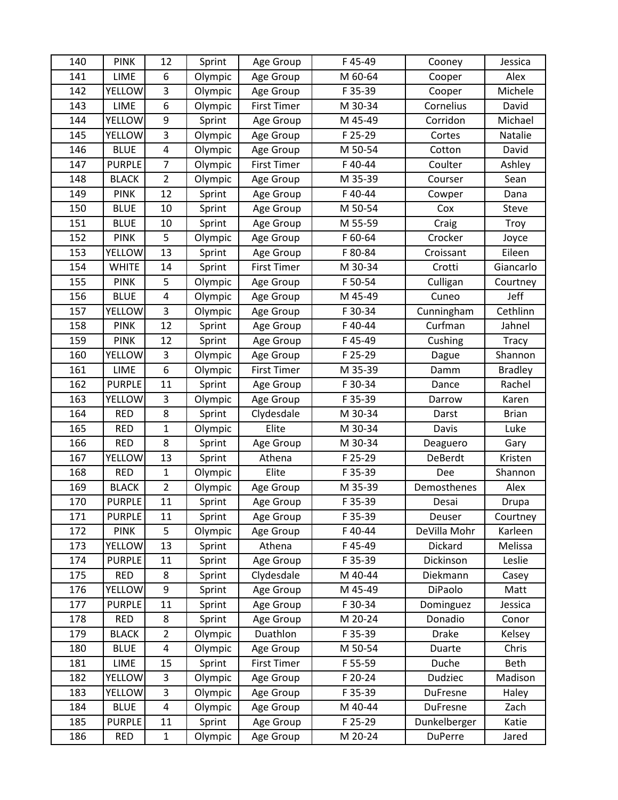| 140 | <b>PINK</b>   | 12                      | Sprint  | Age Group          | F45-49  | Cooney          | Jessica        |
|-----|---------------|-------------------------|---------|--------------------|---------|-----------------|----------------|
| 141 | <b>LIME</b>   | 6                       | Olympic | Age Group          | M 60-64 | Cooper          | Alex           |
| 142 | <b>YELLOW</b> | 3                       | Olympic | Age Group          | F 35-39 | Cooper          | Michele        |
| 143 | LIME          | 6                       | Olympic | <b>First Timer</b> | M 30-34 | Cornelius       | David          |
| 144 | <b>YELLOW</b> | 9                       | Sprint  | Age Group          | M 45-49 | Corridon        | Michael        |
| 145 | <b>YELLOW</b> | 3                       | Olympic | Age Group          | F 25-29 | Cortes          | Natalie        |
| 146 | <b>BLUE</b>   | $\overline{\mathbf{4}}$ | Olympic | Age Group          | M 50-54 | Cotton          | David          |
| 147 | <b>PURPLE</b> | $\overline{7}$          | Olympic | <b>First Timer</b> | F 40-44 | Coulter         | Ashley         |
| 148 | <b>BLACK</b>  | $\overline{2}$          | Olympic | Age Group          | M 35-39 | Courser         | Sean           |
| 149 | <b>PINK</b>   | 12                      | Sprint  | Age Group          | F40-44  | Cowper          | Dana           |
| 150 | <b>BLUE</b>   | 10                      | Sprint  | Age Group          | M 50-54 | Cox             | Steve          |
| 151 | <b>BLUE</b>   | 10                      | Sprint  | Age Group          | M 55-59 | Craig           | Troy           |
| 152 | <b>PINK</b>   | 5                       | Olympic | Age Group          | F 60-64 | Crocker         | Joyce          |
| 153 | YELLOW        | 13                      | Sprint  | Age Group          | F 80-84 | Croissant       | Eileen         |
| 154 | <b>WHITE</b>  | 14                      | Sprint  | First Timer        | M 30-34 | Crotti          | Giancarlo      |
| 155 | <b>PINK</b>   | 5                       | Olympic | Age Group          | F 50-54 | Culligan        | Courtney       |
| 156 | <b>BLUE</b>   | $\overline{\mathbf{4}}$ | Olympic | Age Group          | M 45-49 | Cuneo           | Jeff           |
| 157 | YELLOW        | 3                       | Olympic | Age Group          | F 30-34 | Cunningham      | Cethlinn       |
| 158 | <b>PINK</b>   | 12                      | Sprint  | Age Group          | F40-44  | Curfman         | Jahnel         |
| 159 | <b>PINK</b>   | 12                      | Sprint  | Age Group          | F45-49  | Cushing         | Tracy          |
| 160 | <b>YELLOW</b> | 3                       | Olympic | Age Group          | F 25-29 | Dague           | Shannon        |
| 161 | LIME          | 6                       | Olympic | <b>First Timer</b> | M 35-39 | Damm            | <b>Bradley</b> |
| 162 | <b>PURPLE</b> | 11                      | Sprint  | Age Group          | F 30-34 | Dance           | Rachel         |
| 163 | <b>YELLOW</b> | 3                       | Olympic | Age Group          | F 35-39 | Darrow          | Karen          |
| 164 | <b>RED</b>    | 8                       | Sprint  | Clydesdale         | M 30-34 | Darst           | <b>Brian</b>   |
| 165 | <b>RED</b>    | $\mathbf 1$             | Olympic | Elite              | M 30-34 | Davis           | Luke           |
| 166 | <b>RED</b>    | 8                       | Sprint  | Age Group          | M 30-34 | Deaguero        | Gary           |
| 167 | <b>YELLOW</b> | 13                      | Sprint  | Athena             | F 25-29 | DeBerdt         | Kristen        |
| 168 | <b>RED</b>    | $\mathbf{1}$            | Olympic | Elite              | F 35-39 | Dee             | Shannon        |
| 169 | <b>BLACK</b>  | $\overline{2}$          | Olympic | Age Group          | M 35-39 | Demosthenes     | Alex           |
| 170 | <b>PURPLE</b> | 11                      | Sprint  | Age Group          | F 35-39 | Desai           | Drupa          |
| 171 | <b>PURPLE</b> | 11                      | Sprint  | Age Group          | F 35-39 | Deuser          | Courtney       |
| 172 | <b>PINK</b>   | 5                       | Olympic | Age Group          | F 40-44 | DeVilla Mohr    | Karleen        |
| 173 | YELLOW        | 13                      | Sprint  | Athena             | F45-49  | Dickard         | Melissa        |
| 174 | <b>PURPLE</b> | 11                      | Sprint  | Age Group          | F 35-39 | Dickinson       | Leslie         |
| 175 | <b>RED</b>    | 8                       | Sprint  | Clydesdale         | M 40-44 | Diekmann        | Casey          |
| 176 | <b>YELLOW</b> | 9                       | Sprint  | Age Group          | M 45-49 | DiPaolo         | Matt           |
| 177 | <b>PURPLE</b> | 11                      | Sprint  | Age Group          | F 30-34 | Dominguez       | Jessica        |
| 178 | <b>RED</b>    | 8                       | Sprint  | Age Group          | M 20-24 | Donadio         | Conor          |
| 179 | <b>BLACK</b>  | $\overline{2}$          | Olympic | Duathlon           | F 35-39 | <b>Drake</b>    | Kelsey         |
| 180 | <b>BLUE</b>   | 4                       | Olympic | Age Group          | M 50-54 | Duarte          | Chris          |
| 181 | LIME          | 15                      | Sprint  | First Timer        | F 55-59 | Duche           | Beth           |
| 182 | <b>YELLOW</b> | 3                       | Olympic | Age Group          | F 20-24 | Dudziec         | Madison        |
| 183 | YELLOW        | 3                       | Olympic | Age Group          | F 35-39 | DuFresne        | Haley          |
| 184 | <b>BLUE</b>   | $\overline{\mathbf{4}}$ | Olympic | Age Group          | M 40-44 | <b>DuFresne</b> | Zach           |
| 185 | <b>PURPLE</b> | 11                      | Sprint  | Age Group          | F 25-29 | Dunkelberger    | Katie          |
| 186 | RED           | $\mathbf{1}$            | Olympic | Age Group          | M 20-24 | <b>DuPerre</b>  | Jared          |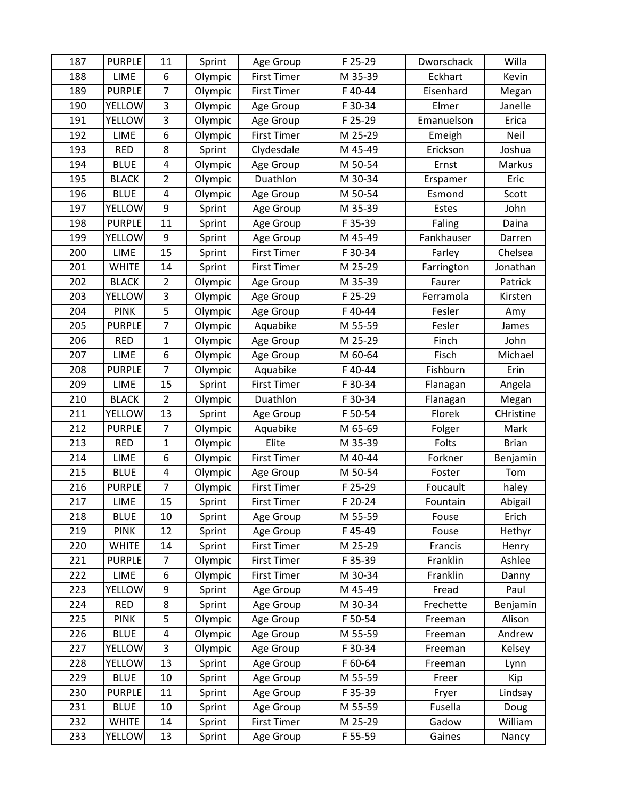| 187 | <b>PURPLE</b> | 11             | Sprint  | Age Group          | F 25-29 | Dworschack | Willa        |
|-----|---------------|----------------|---------|--------------------|---------|------------|--------------|
| 188 | LIME          | 6              | Olympic | <b>First Timer</b> | M 35-39 | Eckhart    | Kevin        |
| 189 | <b>PURPLE</b> | $\overline{7}$ | Olympic | <b>First Timer</b> | F40-44  | Eisenhard  | Megan        |
| 190 | <b>YELLOW</b> | 3              | Olympic | Age Group          | F 30-34 | Elmer      | Janelle      |
| 191 | <b>YELLOW</b> | 3              | Olympic | Age Group          | F 25-29 | Emanuelson | Erica        |
| 192 | LIME          | 6              | Olympic | <b>First Timer</b> | M 25-29 | Emeigh     | Neil         |
| 193 | <b>RED</b>    | 8              | Sprint  | Clydesdale         | M 45-49 | Erickson   | Joshua       |
| 194 | <b>BLUE</b>   | 4              | Olympic | Age Group          | M 50-54 | Ernst      | Markus       |
| 195 | <b>BLACK</b>  | $\overline{2}$ | Olympic | Duathlon           | M 30-34 | Erspamer   | Eric         |
| 196 | <b>BLUE</b>   | 4              | Olympic | Age Group          | M 50-54 | Esmond     | Scott        |
| 197 | <b>YELLOW</b> | 9              | Sprint  | Age Group          | M 35-39 | Estes      | John         |
| 198 | <b>PURPLE</b> | 11             | Sprint  | Age Group          | F 35-39 | Faling     | Daina        |
| 199 | <b>YELLOW</b> | 9              | Sprint  | Age Group          | M 45-49 | Fankhauser | Darren       |
| 200 | LIME          | 15             | Sprint  | <b>First Timer</b> | F 30-34 | Farley     | Chelsea      |
| 201 | <b>WHITE</b>  | 14             | Sprint  | <b>First Timer</b> | M 25-29 | Farrington | Jonathan     |
| 202 | <b>BLACK</b>  | $\overline{2}$ | Olympic | Age Group          | M 35-39 | Faurer     | Patrick      |
| 203 | YELLOW        | 3              | Olympic | Age Group          | F 25-29 | Ferramola  | Kirsten      |
| 204 | <b>PINK</b>   | 5              | Olympic | Age Group          | F40-44  | Fesler     | Amy          |
| 205 | <b>PURPLE</b> | $\overline{7}$ | Olympic | Aquabike           | M 55-59 | Fesler     | James        |
| 206 | <b>RED</b>    | $\mathbf 1$    | Olympic | Age Group          | M 25-29 | Finch      | John         |
| 207 | <b>LIME</b>   | 6              | Olympic | Age Group          | M 60-64 | Fisch      | Michael      |
| 208 | <b>PURPLE</b> | $\overline{7}$ | Olympic | Aquabike           | F40-44  | Fishburn   | Erin         |
| 209 | LIME          | 15             | Sprint  | <b>First Timer</b> | F 30-34 | Flanagan   | Angela       |
| 210 | <b>BLACK</b>  | $\overline{2}$ | Olympic | Duathlon           | F 30-34 | Flanagan   | Megan        |
| 211 | YELLOW        | 13             | Sprint  | Age Group          | F 50-54 | Florek     | CHristine    |
| 212 | <b>PURPLE</b> | $\overline{7}$ | Olympic | Aquabike           | M 65-69 | Folger     | Mark         |
| 213 | <b>RED</b>    | $\mathbf{1}$   | Olympic | Elite              | M 35-39 | Folts      | <b>Brian</b> |
| 214 | LIME          | 6              | Olympic | <b>First Timer</b> | M 40-44 | Forkner    | Benjamin     |
| 215 | <b>BLUE</b>   | 4              | Olympic | Age Group          | M 50-54 | Foster     | Tom          |
| 216 | <b>PURPLE</b> | $\overline{7}$ | Olympic | <b>First Timer</b> | F 25-29 | Foucault   | haley        |
| 217 | LIME          | 15             | Sprint  | <b>First Timer</b> | F 20-24 | Fountain   | Abigail      |
| 218 | <b>BLUE</b>   | 10             | Sprint  | Age Group          | M 55-59 | Fouse      | Erich        |
| 219 | <b>PINK</b>   | 12             | Sprint  | Age Group          | F45-49  | Fouse      | Hethyr       |
| 220 | <b>WHITE</b>  | 14             | Sprint  | First Timer        | M 25-29 | Francis    | Henry        |
| 221 | <b>PURPLE</b> | $\overline{7}$ | Olympic | <b>First Timer</b> | F 35-39 | Franklin   | Ashlee       |
| 222 | LIME          | 6              | Olympic | <b>First Timer</b> | M 30-34 | Franklin   | Danny        |
| 223 | <b>YELLOW</b> | 9              | Sprint  | Age Group          | M 45-49 | Fread      | Paul         |
| 224 | RED           | 8              | Sprint  | Age Group          | M 30-34 | Frechette  | Benjamin     |
| 225 | <b>PINK</b>   | 5              | Olympic | Age Group          | F 50-54 | Freeman    | Alison       |
| 226 | <b>BLUE</b>   | 4              | Olympic | Age Group          | M 55-59 | Freeman    | Andrew       |
| 227 | <b>YELLOW</b> | 3              | Olympic | Age Group          | F 30-34 | Freeman    | Kelsey       |
| 228 | <b>YELLOW</b> | 13             | Sprint  | Age Group          | F 60-64 | Freeman    | Lynn         |
| 229 | <b>BLUE</b>   | 10             | Sprint  | Age Group          | M 55-59 | Freer      | Kip          |
| 230 | <b>PURPLE</b> | 11             | Sprint  | Age Group          | F 35-39 | Fryer      | Lindsay      |
| 231 | <b>BLUE</b>   | 10             | Sprint  | Age Group          | M 55-59 | Fusella    | Doug         |
| 232 | <b>WHITE</b>  | 14             | Sprint  | First Timer        | M 25-29 | Gadow      | William      |
| 233 | YELLOW        | 13             | Sprint  | Age Group          | F 55-59 | Gaines     | Nancy        |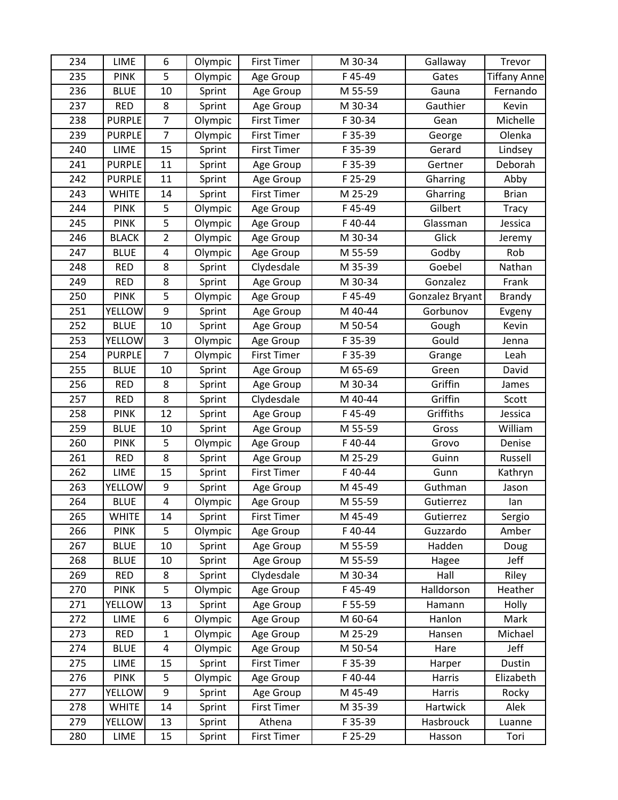| 234 | <b>LIME</b>   | 6                       | Olympic | <b>First Timer</b> | M 30-34 | Gallaway        | Trevor              |
|-----|---------------|-------------------------|---------|--------------------|---------|-----------------|---------------------|
| 235 | <b>PINK</b>   | 5                       | Olympic | Age Group          | F45-49  | Gates           | <b>Tiffany Anne</b> |
| 236 | <b>BLUE</b>   | 10                      | Sprint  | Age Group          | M 55-59 | Gauna           | Fernando            |
| 237 | <b>RED</b>    | 8                       | Sprint  | Age Group          | M 30-34 | Gauthier        | Kevin               |
| 238 | <b>PURPLE</b> | $\overline{7}$          | Olympic | <b>First Timer</b> | F 30-34 | Gean            | Michelle            |
| 239 | <b>PURPLE</b> | $\overline{7}$          | Olympic | <b>First Timer</b> | F 35-39 | George          | Olenka              |
| 240 | LIME          | 15                      | Sprint  | <b>First Timer</b> | F 35-39 | Gerard          | Lindsey             |
| 241 | <b>PURPLE</b> | 11                      | Sprint  | Age Group          | F 35-39 | Gertner         | Deborah             |
| 242 | <b>PURPLE</b> | 11                      | Sprint  | Age Group          | F 25-29 | Gharring        | Abby                |
| 243 | <b>WHITE</b>  | 14                      | Sprint  | <b>First Timer</b> | M 25-29 | Gharring        | <b>Brian</b>        |
| 244 | <b>PINK</b>   | 5                       | Olympic | Age Group          | F45-49  | Gilbert         | Tracy               |
| 245 | <b>PINK</b>   | 5                       | Olympic | Age Group          | F40-44  | Glassman        | Jessica             |
| 246 | <b>BLACK</b>  | $\overline{2}$          | Olympic | Age Group          | M 30-34 | Glick           | Jeremy              |
| 247 | <b>BLUE</b>   | 4                       | Olympic | Age Group          | M 55-59 | Godby           | Rob                 |
| 248 | <b>RED</b>    | 8                       | Sprint  | Clydesdale         | M 35-39 | Goebel          | Nathan              |
| 249 | <b>RED</b>    | 8                       | Sprint  | Age Group          | M 30-34 | Gonzalez        | Frank               |
| 250 | <b>PINK</b>   | 5                       | Olympic | Age Group          | F45-49  | Gonzalez Bryant | <b>Brandy</b>       |
| 251 | <b>YELLOW</b> | 9                       | Sprint  | Age Group          | M 40-44 | Gorbunov        | Evgeny              |
| 252 | <b>BLUE</b>   | 10                      | Sprint  | Age Group          | M 50-54 | Gough           | Kevin               |
| 253 | <b>YELLOW</b> | 3                       | Olympic | Age Group          | F 35-39 | Gould           | Jenna               |
| 254 | <b>PURPLE</b> | $\overline{7}$          | Olympic | <b>First Timer</b> | F 35-39 | Grange          | Leah                |
| 255 | <b>BLUE</b>   | 10                      | Sprint  | Age Group          | M 65-69 | Green           | David               |
| 256 | <b>RED</b>    | 8                       | Sprint  | Age Group          | M 30-34 | Griffin         | James               |
| 257 | <b>RED</b>    | 8                       | Sprint  | Clydesdale         | M 40-44 | Griffin         | Scott               |
| 258 | <b>PINK</b>   | 12                      | Sprint  | Age Group          | F45-49  | Griffiths       | Jessica             |
| 259 | <b>BLUE</b>   | 10                      | Sprint  | Age Group          | M 55-59 | Gross           | William             |
| 260 | <b>PINK</b>   | 5                       | Olympic | Age Group          | F40-44  | Grovo           | Denise              |
| 261 | <b>RED</b>    | 8                       | Sprint  | Age Group          | M 25-29 | Guinn           | Russell             |
| 262 | LIME          | 15                      | Sprint  | <b>First Timer</b> | F40-44  | Gunn            | Kathryn             |
| 263 | YELLOW        | 9                       | Sprint  | Age Group          | M 45-49 | Guthman         | Jason               |
| 264 | <b>BLUE</b>   | $\overline{\mathbf{4}}$ | Olympic | Age Group          | M 55-59 | Gutierrez       | lan                 |
| 265 | <b>WHITE</b>  | 14                      | Sprint  | <b>First Timer</b> | M 45-49 | Gutierrez       | Sergio              |
| 266 | <b>PINK</b>   | 5                       | Olympic | Age Group          | F40-44  | Guzzardo        | Amber               |
| 267 | <b>BLUE</b>   | 10                      | Sprint  | Age Group          | M 55-59 | Hadden          | Doug                |
| 268 | <b>BLUE</b>   | 10                      | Sprint  | Age Group          | M 55-59 | Hagee           | Jeff                |
| 269 | <b>RED</b>    | 8                       | Sprint  | Clydesdale         | M 30-34 | Hall            | Riley               |
| 270 | <b>PINK</b>   | 5                       | Olympic | Age Group          | F45-49  | Halldorson      | Heather             |
| 271 | <b>YELLOW</b> | 13                      | Sprint  | Age Group          | F 55-59 | Hamann          | Holly               |
| 272 | LIME          | 6                       | Olympic | Age Group          | M 60-64 | Hanlon          | Mark                |
| 273 | <b>RED</b>    | 1                       | Olympic | Age Group          | M 25-29 | Hansen          | Michael             |
| 274 | <b>BLUE</b>   | 4                       | Olympic | Age Group          | M 50-54 | Hare            | Jeff                |
| 275 | LIME          | 15                      | Sprint  | <b>First Timer</b> | F 35-39 | Harper          | Dustin              |
| 276 | <b>PINK</b>   | 5                       | Olympic | Age Group          | F40-44  | Harris          | Elizabeth           |
| 277 | YELLOW        | 9                       | Sprint  | Age Group          | M 45-49 | Harris          | Rocky               |
| 278 | <b>WHITE</b>  | 14                      | Sprint  | First Timer        | M 35-39 | Hartwick        | Alek                |
| 279 | <b>YELLOW</b> | 13                      | Sprint  | Athena             | F 35-39 | Hasbrouck       | Luanne              |
| 280 | LIME          | 15                      | Sprint  | <b>First Timer</b> | F 25-29 | Hasson          | Tori                |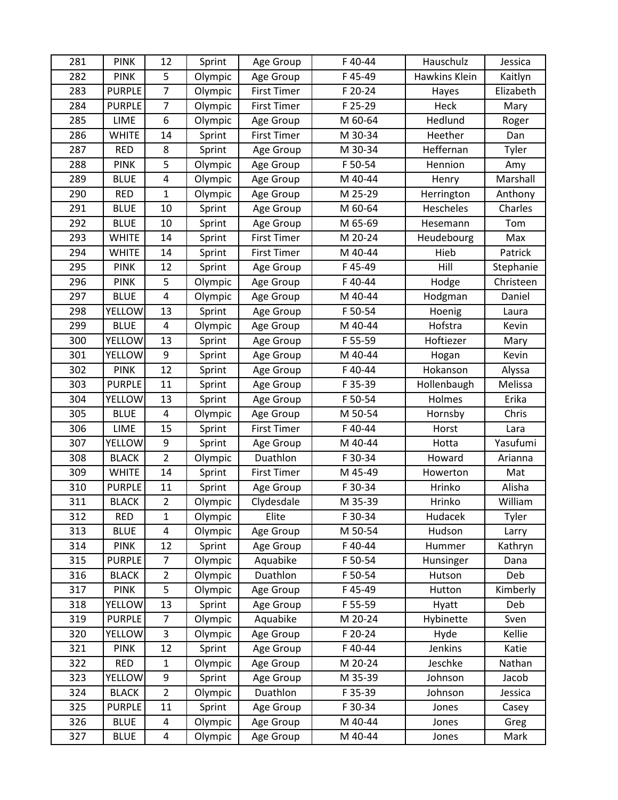| 281 | <b>PINK</b>   | 12                      | Sprint  | Age Group          | F 40-44 | Hauschulz     | Jessica   |
|-----|---------------|-------------------------|---------|--------------------|---------|---------------|-----------|
| 282 | <b>PINK</b>   | 5                       | Olympic | Age Group          | F 45-49 | Hawkins Klein | Kaitlyn   |
| 283 | <b>PURPLE</b> | $\overline{7}$          | Olympic | <b>First Timer</b> | F 20-24 | Hayes         | Elizabeth |
| 284 | <b>PURPLE</b> | $\overline{7}$          | Olympic | <b>First Timer</b> | F 25-29 | Heck          | Mary      |
| 285 | LIME          | 6                       | Olympic | Age Group          | M 60-64 | Hedlund       | Roger     |
| 286 | <b>WHITE</b>  | 14                      | Sprint  | <b>First Timer</b> | M 30-34 | Heether       | Dan       |
| 287 | <b>RED</b>    | 8                       | Sprint  | Age Group          | M 30-34 | Heffernan     | Tyler     |
| 288 | <b>PINK</b>   | 5                       | Olympic | Age Group          | F 50-54 | Hennion       | Amy       |
| 289 | <b>BLUE</b>   | $\overline{4}$          | Olympic | Age Group          | M 40-44 | Henry         | Marshall  |
| 290 | <b>RED</b>    | $\mathbf{1}$            | Olympic | Age Group          | M 25-29 | Herrington    | Anthony   |
| 291 | <b>BLUE</b>   | 10                      | Sprint  | Age Group          | M 60-64 | Hescheles     | Charles   |
| 292 | <b>BLUE</b>   | 10                      | Sprint  | Age Group          | M 65-69 | Hesemann      | Tom       |
| 293 | <b>WHITE</b>  | 14                      | Sprint  | <b>First Timer</b> | M 20-24 | Heudebourg    | Max       |
| 294 | <b>WHITE</b>  | 14                      | Sprint  | <b>First Timer</b> | M 40-44 | Hieb          | Patrick   |
| 295 | <b>PINK</b>   | 12                      | Sprint  | Age Group          | F45-49  | Hill          | Stephanie |
| 296 | <b>PINK</b>   | 5                       | Olympic | Age Group          | F40-44  | Hodge         | Christeen |
| 297 | <b>BLUE</b>   | $\overline{\mathbf{4}}$ | Olympic | Age Group          | M 40-44 | Hodgman       | Daniel    |
| 298 | YELLOW        | 13                      | Sprint  | Age Group          | F 50-54 | Hoenig        | Laura     |
| 299 | <b>BLUE</b>   | $\overline{4}$          | Olympic | Age Group          | M 40-44 | Hofstra       | Kevin     |
| 300 | <b>YELLOW</b> | 13                      | Sprint  | Age Group          | F 55-59 | Hoftiezer     | Mary      |
| 301 | YELLOW        | 9                       | Sprint  | Age Group          | M 40-44 | Hogan         | Kevin     |
| 302 | <b>PINK</b>   | 12                      | Sprint  | Age Group          | F40-44  | Hokanson      | Alyssa    |
| 303 | <b>PURPLE</b> | 11                      | Sprint  | Age Group          | F 35-39 | Hollenbaugh   | Melissa   |
| 304 | <b>YELLOW</b> | 13                      | Sprint  | Age Group          | F 50-54 | Holmes        | Erika     |
| 305 | <b>BLUE</b>   | $\overline{\mathbf{4}}$ | Olympic | Age Group          | M 50-54 | Hornsby       | Chris     |
| 306 | <b>LIME</b>   | 15                      | Sprint  | <b>First Timer</b> | F40-44  | Horst         | Lara      |
| 307 | <b>YELLOW</b> | 9                       | Sprint  | Age Group          | M 40-44 | Hotta         | Yasufumi  |
| 308 | <b>BLACK</b>  | $\overline{2}$          | Olympic | Duathlon           | F 30-34 | Howard        | Arianna   |
| 309 | <b>WHITE</b>  | 14                      | Sprint  | <b>First Timer</b> | M 45-49 | Howerton      | Mat       |
| 310 | <b>PURPLE</b> | 11                      | Sprint  | Age Group          | F 30-34 | Hrinko        | Alisha    |
| 311 | <b>BLACK</b>  | $\overline{2}$          | Olympic | Clydesdale         | M 35-39 | Hrinko        | William   |
| 312 | <b>RED</b>    | 1                       | Olympic | Elite              | F 30-34 | Hudacek       | Tyler     |
| 313 | <b>BLUE</b>   | $\overline{\mathbf{4}}$ | Olympic | Age Group          | M 50-54 | Hudson        | Larry     |
| 314 | <b>PINK</b>   | 12                      | Sprint  | Age Group          | F40-44  | Hummer        | Kathryn   |
| 315 | <b>PURPLE</b> | $\overline{7}$          | Olympic | Aquabike           | F 50-54 | Hunsinger     | Dana      |
| 316 | <b>BLACK</b>  | $\overline{2}$          | Olympic | Duathlon           | F 50-54 | Hutson        | Deb       |
| 317 | <b>PINK</b>   | 5                       | Olympic | Age Group          | F45-49  | Hutton        | Kimberly  |
| 318 | <b>YELLOW</b> | 13                      | Sprint  | Age Group          | F 55-59 | Hyatt         | Deb       |
| 319 | <b>PURPLE</b> | $\overline{7}$          | Olympic | Aquabike           | M 20-24 | Hybinette     | Sven      |
| 320 | <b>YELLOW</b> | 3                       | Olympic | Age Group          | F 20-24 | Hyde          | Kellie    |
| 321 | <b>PINK</b>   | 12                      | Sprint  | Age Group          | F40-44  | Jenkins       | Katie     |
| 322 | <b>RED</b>    | $\mathbf{1}$            | Olympic | Age Group          | M 20-24 | Jeschke       | Nathan    |
| 323 | YELLOW        | 9                       | Sprint  | Age Group          | M 35-39 | Johnson       | Jacob     |
| 324 | <b>BLACK</b>  | $\overline{2}$          | Olympic | Duathlon           | F 35-39 | Johnson       | Jessica   |
| 325 | <b>PURPLE</b> | 11                      | Sprint  | Age Group          | F 30-34 | Jones         | Casey     |
| 326 | <b>BLUE</b>   | 4                       | Olympic | Age Group          | M 40-44 | Jones         | Greg      |
| 327 | <b>BLUE</b>   | 4                       | Olympic | Age Group          | M 40-44 | Jones         | Mark      |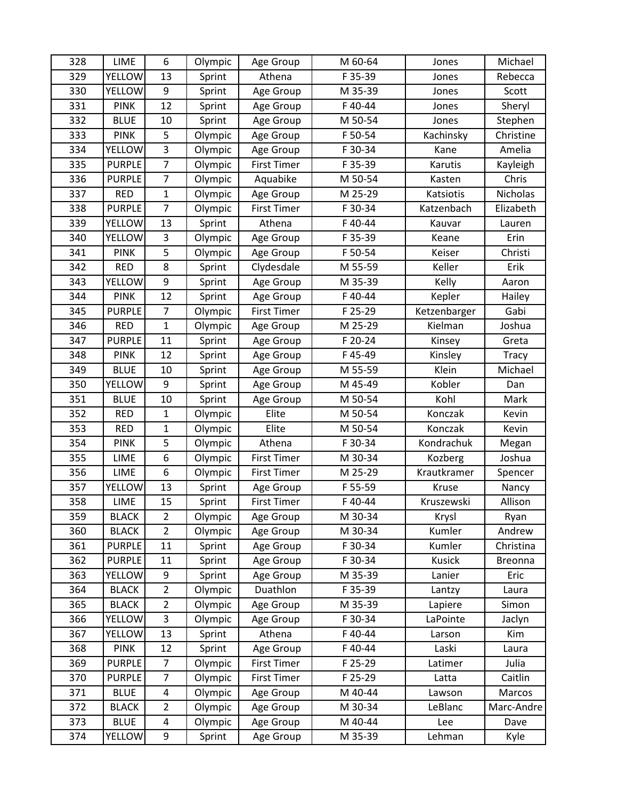| 328 | LIME          | 6              | Olympic | Age Group          | M 60-64 | Jones         | Michael      |
|-----|---------------|----------------|---------|--------------------|---------|---------------|--------------|
| 329 | <b>YELLOW</b> | 13             | Sprint  | Athena             | F 35-39 | Jones         | Rebecca      |
| 330 | <b>YELLOW</b> | 9              | Sprint  | Age Group          | M 35-39 | Jones         | Scott        |
| 331 | <b>PINK</b>   | 12             | Sprint  | Age Group          | F40-44  | Jones         | Sheryl       |
| 332 | <b>BLUE</b>   | 10             | Sprint  | Age Group          | M 50-54 | Jones         | Stephen      |
| 333 | <b>PINK</b>   | 5              | Olympic | Age Group          | F 50-54 | Kachinsky     | Christine    |
| 334 | <b>YELLOW</b> | 3              | Olympic | Age Group          | F 30-34 | Kane          | Amelia       |
| 335 | <b>PURPLE</b> | $\overline{7}$ | Olympic | <b>First Timer</b> | F 35-39 | Karutis       | Kayleigh     |
| 336 | <b>PURPLE</b> | $\overline{7}$ | Olympic | Aquabike           | M 50-54 | Kasten        | Chris        |
| 337 | <b>RED</b>    | $\mathbf 1$    | Olympic | Age Group          | M 25-29 | Katsiotis     | Nicholas     |
| 338 | <b>PURPLE</b> | $\overline{7}$ | Olympic | <b>First Timer</b> | F 30-34 | Katzenbach    | Elizabeth    |
| 339 | YELLOW        | 13             | Sprint  | Athena             | F40-44  | Kauvar        | Lauren       |
| 340 | YELLOW        | 3              | Olympic | Age Group          | F 35-39 | Keane         | Erin         |
| 341 | <b>PINK</b>   | 5              | Olympic | Age Group          | F 50-54 | Keiser        | Christi      |
| 342 | <b>RED</b>    | 8              | Sprint  | Clydesdale         | M 55-59 | Keller        | Erik         |
| 343 | YELLOW        | 9              | Sprint  | Age Group          | M 35-39 | Kelly         | Aaron        |
| 344 | <b>PINK</b>   | 12             | Sprint  | Age Group          | F40-44  | Kepler        | Hailey       |
| 345 | <b>PURPLE</b> | $\overline{7}$ | Olympic | <b>First Timer</b> | F 25-29 | Ketzenbarger  | Gabi         |
| 346 | <b>RED</b>    | $\mathbf{1}$   | Olympic | Age Group          | M 25-29 | Kielman       | Joshua       |
| 347 | <b>PURPLE</b> | 11             | Sprint  | Age Group          | F 20-24 | Kinsey        | Greta        |
| 348 | <b>PINK</b>   | 12             | Sprint  | Age Group          | F45-49  | Kinsley       | <b>Tracy</b> |
| 349 | <b>BLUE</b>   | 10             | Sprint  | Age Group          | M 55-59 | Klein         | Michael      |
| 350 | YELLOW        | 9              | Sprint  | Age Group          | M 45-49 | Kobler        | Dan          |
| 351 | <b>BLUE</b>   | 10             | Sprint  | Age Group          | M 50-54 | Kohl          | Mark         |
| 352 | <b>RED</b>    | $\mathbf{1}$   | Olympic | Elite              | M 50-54 | Konczak       | Kevin        |
| 353 | <b>RED</b>    | $\mathbf 1$    | Olympic | Elite              | M 50-54 | Konczak       | Kevin        |
| 354 | <b>PINK</b>   | 5              | Olympic | Athena             | F 30-34 | Kondrachuk    | Megan        |
| 355 | LIME          | 6              | Olympic | <b>First Timer</b> | M 30-34 | Kozberg       | Joshua       |
| 356 | LIME          | 6              | Olympic | <b>First Timer</b> | M 25-29 | Krautkramer   | Spencer      |
| 357 | YELLOW        | 13             | Sprint  | Age Group          | F 55-59 | Kruse         | Nancy        |
| 358 | LIME          | 15             | Sprint  | <b>First Timer</b> | F40-44  | Kruszewski    | Allison      |
| 359 | <b>BLACK</b>  | $\overline{2}$ | Olympic | Age Group          | M 30-34 | Krysl         | Ryan         |
| 360 | <b>BLACK</b>  | $\overline{2}$ | Olympic | Age Group          | M 30-34 | Kumler        | Andrew       |
| 361 | <b>PURPLE</b> | 11             | Sprint  | Age Group          | F 30-34 | Kumler        | Christina    |
| 362 | <b>PURPLE</b> | 11             | Sprint  | Age Group          | F 30-34 | <b>Kusick</b> | Breonna      |
| 363 | <b>YELLOW</b> | 9              | Sprint  | Age Group          | M 35-39 | Lanier        | Eric         |
| 364 | <b>BLACK</b>  | $\overline{2}$ | Olympic | Duathlon           | F 35-39 | Lantzy        | Laura        |
| 365 | <b>BLACK</b>  | $\overline{2}$ | Olympic | Age Group          | M 35-39 | Lapiere       | Simon        |
| 366 | YELLOW        | 3              | Olympic | Age Group          | F 30-34 | LaPointe      | Jaclyn       |
| 367 | <b>YELLOW</b> | 13             | Sprint  | Athena             | F40-44  | Larson        | Kim          |
| 368 | <b>PINK</b>   | 12             | Sprint  | Age Group          | F40-44  | Laski         | Laura        |
| 369 | <b>PURPLE</b> | $\overline{7}$ | Olympic | <b>First Timer</b> | F 25-29 | Latimer       | Julia        |
| 370 | <b>PURPLE</b> | $\overline{7}$ | Olympic | <b>First Timer</b> | F 25-29 | Latta         | Caitlin      |
| 371 | <b>BLUE</b>   | 4              | Olympic | Age Group          | M 40-44 | Lawson        | Marcos       |
| 372 | <b>BLACK</b>  | $\overline{2}$ | Olympic | Age Group          | M 30-34 | LeBlanc       | Marc-Andre   |
| 373 | <b>BLUE</b>   | 4              | Olympic | Age Group          | M 40-44 | Lee           | Dave         |
| 374 | <b>YELLOW</b> | 9              | Sprint  | Age Group          | M 35-39 | Lehman        | Kyle         |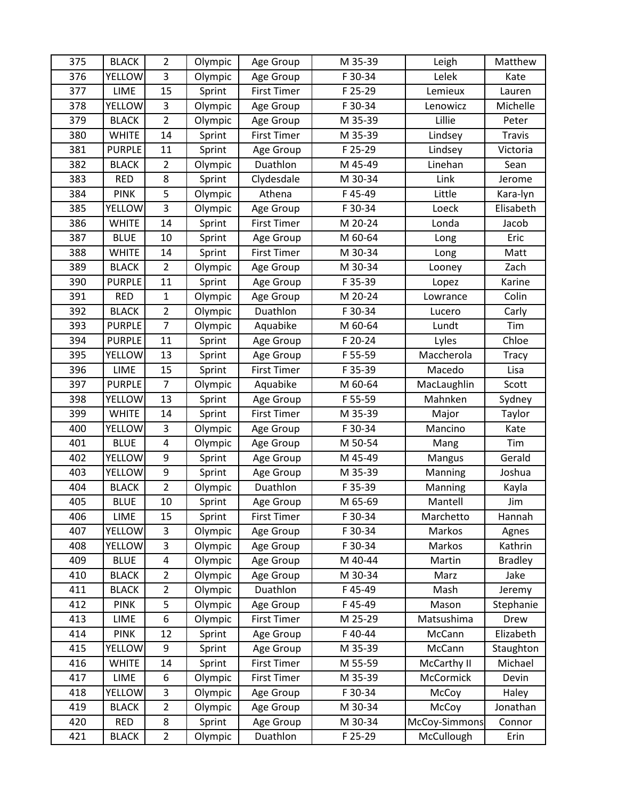| 375 | <b>BLACK</b>  | $\overline{2}$          | Olympic | Age Group          | M 35-39 | Leigh         | Matthew        |
|-----|---------------|-------------------------|---------|--------------------|---------|---------------|----------------|
| 376 | <b>YELLOW</b> | 3                       | Olympic | Age Group          | F 30-34 | Lelek         | Kate           |
| 377 | LIME          | 15                      | Sprint  | <b>First Timer</b> | F 25-29 | Lemieux       | Lauren         |
| 378 | <b>YELLOW</b> | 3                       | Olympic | Age Group          | F 30-34 | Lenowicz      | Michelle       |
| 379 | <b>BLACK</b>  | $\overline{2}$          | Olympic | Age Group          | M 35-39 | Lillie        | Peter          |
| 380 | <b>WHITE</b>  | 14                      | Sprint  | <b>First Timer</b> | M 35-39 | Lindsey       | Travis         |
| 381 | <b>PURPLE</b> | 11                      | Sprint  | Age Group          | F 25-29 | Lindsey       | Victoria       |
| 382 | <b>BLACK</b>  | $\overline{2}$          | Olympic | Duathlon           | M 45-49 | Linehan       | Sean           |
| 383 | <b>RED</b>    | 8                       | Sprint  | Clydesdale         | M 30-34 | Link          | Jerome         |
| 384 | <b>PINK</b>   | 5                       | Olympic | Athena             | F45-49  | Little        | Kara-lyn       |
| 385 | <b>YELLOW</b> | 3                       | Olympic | Age Group          | F 30-34 | Loeck         | Elisabeth      |
| 386 | <b>WHITE</b>  | 14                      | Sprint  | <b>First Timer</b> | M 20-24 | Londa         | Jacob          |
| 387 | <b>BLUE</b>   | 10                      | Sprint  | Age Group          | M 60-64 | Long          | Eric           |
| 388 | <b>WHITE</b>  | 14                      | Sprint  | <b>First Timer</b> | M 30-34 | Long          | Matt           |
| 389 | <b>BLACK</b>  | $\overline{2}$          | Olympic | Age Group          | M 30-34 | Looney        | Zach           |
| 390 | <b>PURPLE</b> | 11                      | Sprint  | Age Group          | F 35-39 | Lopez         | Karine         |
| 391 | <b>RED</b>    | $\mathbf{1}$            | Olympic | Age Group          | M 20-24 | Lowrance      | Colin          |
| 392 | <b>BLACK</b>  | $\overline{2}$          | Olympic | Duathlon           | F 30-34 | Lucero        | Carly          |
| 393 | <b>PURPLE</b> | $\overline{7}$          | Olympic | Aquabike           | M 60-64 | Lundt         | Tim            |
| 394 | <b>PURPLE</b> | 11                      | Sprint  | Age Group          | F 20-24 | Lyles         | Chloe          |
| 395 | YELLOW        | 13                      | Sprint  | Age Group          | F 55-59 | Maccherola    | <b>Tracy</b>   |
| 396 | LIME          | 15                      | Sprint  | <b>First Timer</b> | F 35-39 | Macedo        | Lisa           |
| 397 | <b>PURPLE</b> | $\overline{7}$          | Olympic | Aquabike           | M 60-64 | MacLaughlin   | Scott          |
| 398 | <b>YELLOW</b> | 13                      | Sprint  | Age Group          | F 55-59 | Mahnken       | Sydney         |
| 399 | <b>WHITE</b>  | 14                      | Sprint  | <b>First Timer</b> | M 35-39 | Major         | Taylor         |
| 400 | YELLOW        | 3                       | Olympic | Age Group          | F 30-34 | Mancino       | Kate           |
| 401 | <b>BLUE</b>   | $\overline{\mathbf{4}}$ | Olympic | Age Group          | M 50-54 | Mang          | Tim            |
| 402 | YELLOW        | 9                       | Sprint  | Age Group          | M 45-49 | Mangus        | Gerald         |
| 403 | <b>YELLOW</b> | 9                       | Sprint  | Age Group          | M 35-39 | Manning       | Joshua         |
| 404 | <b>BLACK</b>  | $\overline{2}$          | Olympic | Duathlon           | F 35-39 | Manning       | Kayla          |
| 405 | <b>BLUE</b>   | 10                      | Sprint  | Age Group          | M 65-69 | Mantell       | Jim            |
| 406 | LIME          | 15                      | Sprint  | <b>First Timer</b> | F 30-34 | Marchetto     | Hannah         |
| 407 | <b>YELLOW</b> | 3                       | Olympic | Age Group          | F 30-34 | Markos        | Agnes          |
| 408 | <b>YELLOW</b> | 3                       | Olympic | Age Group          | F 30-34 | Markos        | Kathrin        |
| 409 | <b>BLUE</b>   | $\overline{\mathbf{4}}$ | Olympic | Age Group          | M 40-44 | Martin        | <b>Bradley</b> |
| 410 | <b>BLACK</b>  | $\overline{2}$          | Olympic | Age Group          | M 30-34 | Marz          | Jake           |
| 411 | <b>BLACK</b>  | $\overline{2}$          | Olympic | Duathlon           | F45-49  | Mash          | Jeremy         |
| 412 | <b>PINK</b>   | 5                       | Olympic | Age Group          | F45-49  | Mason         | Stephanie      |
| 413 | LIME          | 6                       | Olympic | <b>First Timer</b> | M 25-29 | Matsushima    | Drew           |
| 414 | <b>PINK</b>   | 12                      | Sprint  | Age Group          | F40-44  | McCann        | Elizabeth      |
| 415 | <b>YELLOW</b> | 9                       | Sprint  | Age Group          | M 35-39 | McCann        | Staughton      |
| 416 | <b>WHITE</b>  | 14                      | Sprint  | <b>First Timer</b> | M 55-59 | McCarthy II   | Michael        |
| 417 | LIME          | 6                       | Olympic | <b>First Timer</b> | M 35-39 | McCormick     | Devin          |
| 418 | <b>YELLOW</b> | 3                       | Olympic | Age Group          | F 30-34 | McCoy         | Haley          |
| 419 | <b>BLACK</b>  | $\overline{2}$          | Olympic | Age Group          | M 30-34 | McCoy         | Jonathan       |
| 420 | <b>RED</b>    | 8                       | Sprint  | Age Group          | M 30-34 | McCoy-Simmons | Connor         |
| 421 | <b>BLACK</b>  | $\overline{2}$          | Olympic | Duathlon           | F 25-29 | McCullough    | Erin           |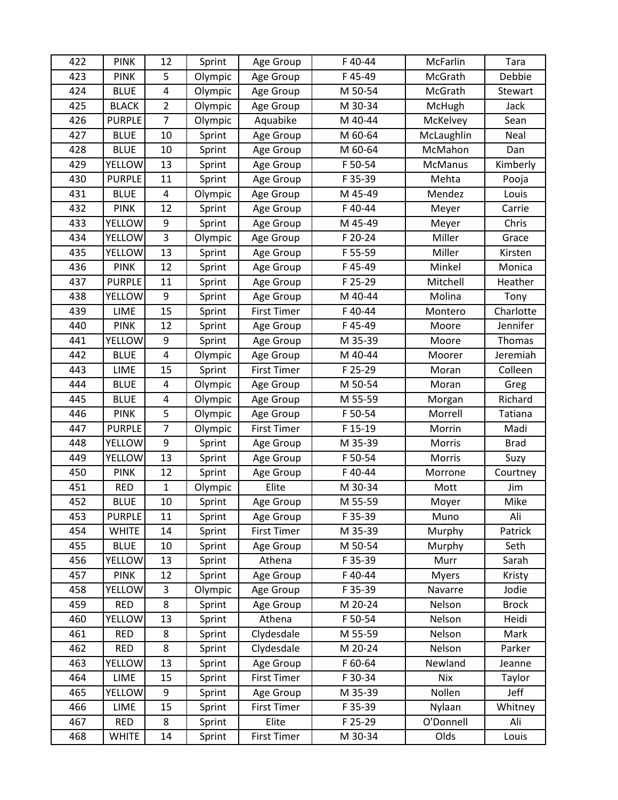| 422 | <b>PINK</b>   | 12                      | Sprint  | Age Group          | F 40-44 | McFarlin     | Tara         |
|-----|---------------|-------------------------|---------|--------------------|---------|--------------|--------------|
| 423 | <b>PINK</b>   | 5                       | Olympic | Age Group          | F 45-49 | McGrath      | Debbie       |
| 424 | <b>BLUE</b>   | $\pmb{4}$               | Olympic | Age Group          | M 50-54 | McGrath      | Stewart      |
| 425 | <b>BLACK</b>  | $\overline{2}$          | Olympic | Age Group          | M 30-34 | McHugh       | Jack         |
| 426 | <b>PURPLE</b> | $\overline{7}$          | Olympic | Aquabike           | M 40-44 | McKelvey     | Sean         |
| 427 | <b>BLUE</b>   | 10                      | Sprint  | Age Group          | M 60-64 | McLaughlin   | Neal         |
| 428 | <b>BLUE</b>   | 10                      | Sprint  | Age Group          | M 60-64 | McMahon      | Dan          |
| 429 | <b>YELLOW</b> | 13                      | Sprint  | Age Group          | F 50-54 | McManus      | Kimberly     |
| 430 | <b>PURPLE</b> | 11                      | Sprint  | Age Group          | F 35-39 | Mehta        | Pooja        |
| 431 | <b>BLUE</b>   | 4                       | Olympic | Age Group          | M 45-49 | Mendez       | Louis        |
| 432 | <b>PINK</b>   | 12                      | Sprint  | Age Group          | F40-44  | Meyer        | Carrie       |
| 433 | YELLOW        | 9                       | Sprint  | Age Group          | M 45-49 | Meyer        | Chris        |
| 434 | YELLOW        | 3                       | Olympic | Age Group          | F 20-24 | Miller       | Grace        |
| 435 | YELLOW        | 13                      | Sprint  | Age Group          | F 55-59 | Miller       | Kirsten      |
| 436 | <b>PINK</b>   | 12                      | Sprint  | Age Group          | F45-49  | Minkel       | Monica       |
| 437 | <b>PURPLE</b> | 11                      | Sprint  | Age Group          | F 25-29 | Mitchell     | Heather      |
| 438 | YELLOW        | 9                       | Sprint  | Age Group          | M 40-44 | Molina       | Tony         |
| 439 | LIME          | 15                      | Sprint  | <b>First Timer</b> | F 40-44 | Montero      | Charlotte    |
| 440 | <b>PINK</b>   | 12                      | Sprint  | Age Group          | F45-49  | Moore        | Jennifer     |
| 441 | <b>YELLOW</b> | 9                       | Sprint  | Age Group          | M 35-39 | Moore        | Thomas       |
| 442 | <b>BLUE</b>   | $\overline{\mathbf{4}}$ | Olympic | Age Group          | M 40-44 | Moorer       | Jeremiah     |
| 443 | <b>LIME</b>   | 15                      | Sprint  | <b>First Timer</b> | F 25-29 | Moran        | Colleen      |
| 444 | <b>BLUE</b>   | 4                       | Olympic | Age Group          | M 50-54 | Moran        | Greg         |
| 445 | <b>BLUE</b>   | $\overline{\mathbf{4}}$ | Olympic | Age Group          | M 55-59 | Morgan       | Richard      |
| 446 | <b>PINK</b>   | 5                       | Olympic | Age Group          | F 50-54 | Morrell      | Tatiana      |
| 447 | <b>PURPLE</b> | $\overline{7}$          | Olympic | <b>First Timer</b> | F 15-19 | Morrin       | Madi         |
| 448 | <b>YELLOW</b> | 9                       | Sprint  | Age Group          | M 35-39 | Morris       | <b>Brad</b>  |
| 449 | YELLOW        | 13                      | Sprint  | Age Group          | F 50-54 | Morris       | Suzy         |
| 450 | <b>PINK</b>   | 12                      | Sprint  | Age Group          | F40-44  | Morrone      | Courtney     |
| 451 | <b>RED</b>    | $\mathbf{1}$            | Olympic | Elite              | M 30-34 | Mott         | Jim          |
| 452 | <b>BLUE</b>   | 10                      | Sprint  | Age Group          | M 55-59 | Moyer        | Mike         |
| 453 | <b>PURPLE</b> | 11                      | Sprint  | Age Group          | F 35-39 | Muno         | Ali          |
| 454 | <b>WHITE</b>  | 14                      | Sprint  | <b>First Timer</b> | M 35-39 | Murphy       | Patrick      |
| 455 | <b>BLUE</b>   | 10                      | Sprint  | Age Group          | M 50-54 | Murphy       | Seth         |
| 456 | <b>YELLOW</b> | 13                      | Sprint  | Athena             | F 35-39 | Murr         | Sarah        |
| 457 | <b>PINK</b>   | 12                      | Sprint  | Age Group          | F40-44  | <b>Myers</b> | Kristy       |
| 458 | <b>YELLOW</b> | 3                       | Olympic | Age Group          | F 35-39 | Navarre      | Jodie        |
| 459 | <b>RED</b>    | 8                       | Sprint  | Age Group          | M 20-24 | Nelson       | <b>Brock</b> |
| 460 | <b>YELLOW</b> | 13                      | Sprint  | Athena             | F 50-54 | Nelson       | Heidi        |
| 461 | <b>RED</b>    | 8                       | Sprint  | Clydesdale         | M 55-59 | Nelson       | Mark         |
| 462 | <b>RED</b>    | 8                       | Sprint  | Clydesdale         | M 20-24 | Nelson       | Parker       |
| 463 | YELLOW        | 13                      | Sprint  | Age Group          | F 60-64 | Newland      | Jeanne       |
| 464 | LIME          | 15                      | Sprint  | <b>First Timer</b> | F 30-34 | Nix          | Taylor       |
| 465 | <b>YELLOW</b> | 9                       | Sprint  | Age Group          | M 35-39 | Nollen       | Jeff         |
| 466 | LIME          | 15                      | Sprint  | <b>First Timer</b> | F 35-39 | Nylaan       | Whitney      |
| 467 | <b>RED</b>    | 8                       | Sprint  | Elite              | F 25-29 | O'Donnell    | Ali          |
| 468 | <b>WHITE</b>  | 14                      | Sprint  | <b>First Timer</b> | M 30-34 | Olds         | Louis        |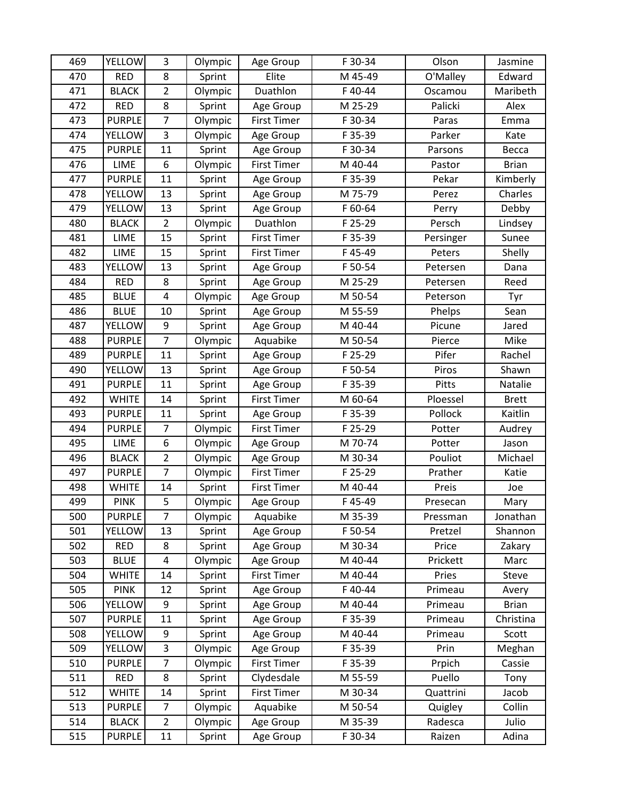| 469 | <b>YELLOW</b> | 3                       | Olympic | Age Group          | F 30-34 | Olson     | Jasmine      |
|-----|---------------|-------------------------|---------|--------------------|---------|-----------|--------------|
| 470 | <b>RED</b>    | 8                       | Sprint  | Elite              | M 45-49 | O'Malley  | Edward       |
| 471 | <b>BLACK</b>  | $\overline{2}$          | Olympic | Duathlon           | F40-44  | Oscamou   | Maribeth     |
| 472 | <b>RED</b>    | 8                       | Sprint  | Age Group          | M 25-29 | Palicki   | Alex         |
| 473 | <b>PURPLE</b> | $\overline{7}$          | Olympic | <b>First Timer</b> | F 30-34 | Paras     | Emma         |
| 474 | YELLOW        | 3                       | Olympic | Age Group          | F 35-39 | Parker    | Kate         |
| 475 | <b>PURPLE</b> | 11                      | Sprint  | Age Group          | F 30-34 | Parsons   | Becca        |
| 476 | LIME          | 6                       | Olympic | First Timer        | M 40-44 | Pastor    | <b>Brian</b> |
| 477 | <b>PURPLE</b> | 11                      | Sprint  | Age Group          | F 35-39 | Pekar     | Kimberly     |
| 478 | <b>YELLOW</b> | 13                      | Sprint  | Age Group          | M 75-79 | Perez     | Charles      |
| 479 | YELLOW        | 13                      | Sprint  | Age Group          | F 60-64 | Perry     | Debby        |
| 480 | <b>BLACK</b>  | $\overline{2}$          | Olympic | Duathlon           | F 25-29 | Persch    | Lindsey      |
| 481 | LIME          | 15                      | Sprint  | <b>First Timer</b> | F 35-39 | Persinger | Sunee        |
| 482 | LIME          | 15                      | Sprint  | <b>First Timer</b> | F45-49  | Peters    | Shelly       |
| 483 | <b>YELLOW</b> | 13                      | Sprint  | Age Group          | F 50-54 | Petersen  | Dana         |
| 484 | <b>RED</b>    | 8                       | Sprint  | Age Group          | M 25-29 | Petersen  | Reed         |
| 485 | <b>BLUE</b>   | $\overline{\mathbf{4}}$ | Olympic | Age Group          | M 50-54 | Peterson  | Tyr          |
| 486 | <b>BLUE</b>   | 10                      | Sprint  | Age Group          | M 55-59 | Phelps    | Sean         |
| 487 | YELLOW        | 9                       | Sprint  | Age Group          | M 40-44 | Picune    | Jared        |
| 488 | <b>PURPLE</b> | $\overline{7}$          | Olympic | Aquabike           | M 50-54 | Pierce    | Mike         |
| 489 | <b>PURPLE</b> | 11                      | Sprint  | Age Group          | F 25-29 | Pifer     | Rachel       |
| 490 | <b>YELLOW</b> | 13                      | Sprint  | Age Group          | F 50-54 | Piros     | Shawn        |
| 491 | <b>PURPLE</b> | 11                      | Sprint  | Age Group          | F 35-39 | Pitts     | Natalie      |
| 492 | <b>WHITE</b>  | 14                      | Sprint  | <b>First Timer</b> | M 60-64 | Ploessel  | <b>Brett</b> |
| 493 | <b>PURPLE</b> | 11                      | Sprint  | Age Group          | F 35-39 | Pollock   | Kaitlin      |
| 494 | <b>PURPLE</b> | $\overline{7}$          | Olympic | <b>First Timer</b> | F 25-29 | Potter    | Audrey       |
| 495 | LIME          | 6                       | Olympic | Age Group          | M 70-74 | Potter    | Jason        |
| 496 | <b>BLACK</b>  | $\overline{2}$          | Olympic | Age Group          | M 30-34 | Pouliot   | Michael      |
| 497 | <b>PURPLE</b> | $\overline{7}$          | Olympic | <b>First Timer</b> | F 25-29 | Prather   | Katie        |
| 498 | <b>WHITE</b>  | 14                      | Sprint  | <b>First Timer</b> | M 40-44 | Preis     | Joe          |
| 499 | <b>PINK</b>   | 5                       | Olympic | Age Group          | F45-49  | Presecan  | Mary         |
| 500 | <b>PURPLE</b> | $\overline{7}$          | Olympic | Aquabike           | M 35-39 | Pressman  | Jonathan     |
| 501 | <b>YELLOW</b> | 13                      | Sprint  | Age Group          | F 50-54 | Pretzel   | Shannon      |
| 502 | <b>RED</b>    | 8                       | Sprint  | Age Group          | M 30-34 | Price     | Zakary       |
| 503 | <b>BLUE</b>   | 4                       | Olympic | Age Group          | M 40-44 | Prickett  | Marc         |
| 504 | <b>WHITE</b>  | 14                      | Sprint  | First Timer        | M 40-44 | Pries     | Steve        |
| 505 | <b>PINK</b>   | 12                      | Sprint  | Age Group          | F40-44  | Primeau   | Avery        |
| 506 | <b>YELLOW</b> | 9                       | Sprint  | Age Group          | M 40-44 | Primeau   | <b>Brian</b> |
| 507 | <b>PURPLE</b> | 11                      | Sprint  | Age Group          | F 35-39 | Primeau   | Christina    |
| 508 | YELLOW        | 9                       | Sprint  | Age Group          | M 40-44 | Primeau   | Scott        |
| 509 | <b>YELLOW</b> | 3                       | Olympic | Age Group          | F 35-39 | Prin      | Meghan       |
| 510 | <b>PURPLE</b> | $\overline{7}$          | Olympic | <b>First Timer</b> | F 35-39 | Prpich    | Cassie       |
| 511 | RED           | 8                       | Sprint  | Clydesdale         | M 55-59 | Puello    | Tony         |
| 512 | <b>WHITE</b>  | 14                      | Sprint  | <b>First Timer</b> | M 30-34 | Quattrini | Jacob        |
| 513 | <b>PURPLE</b> | $\overline{7}$          | Olympic | Aquabike           | M 50-54 | Quigley   | Collin       |
| 514 | <b>BLACK</b>  | $\overline{2}$          | Olympic | Age Group          | M 35-39 | Radesca   | Julio        |
| 515 | <b>PURPLE</b> | 11                      | Sprint  | Age Group          | F 30-34 | Raizen    | Adina        |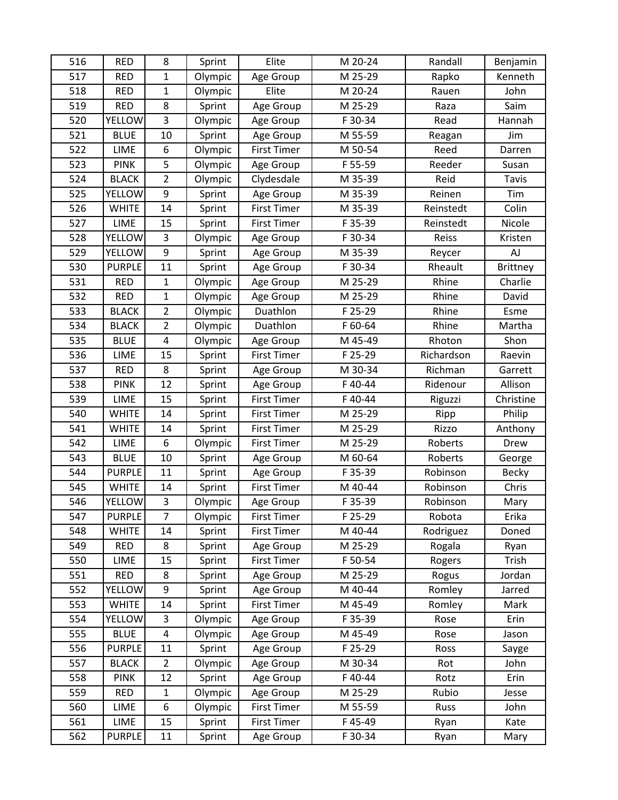| 516 | <b>RED</b>    | 8                       | Sprint  | Elite              | M 20-24 | Randall    | Benjamin     |
|-----|---------------|-------------------------|---------|--------------------|---------|------------|--------------|
| 517 | <b>RED</b>    | 1                       | Olympic | Age Group          | M 25-29 | Rapko      | Kenneth      |
| 518 | <b>RED</b>    | $\mathbf{1}$            | Olympic | Elite              | M 20-24 | Rauen      | John         |
| 519 | <b>RED</b>    | 8                       | Sprint  | Age Group          | M 25-29 | Raza       | Saim         |
| 520 | <b>YELLOW</b> | 3                       | Olympic | Age Group          | F 30-34 | Read       | Hannah       |
| 521 | <b>BLUE</b>   | 10                      | Sprint  | Age Group          | M 55-59 | Reagan     | Jim          |
| 522 | LIME          | 6                       | Olympic | <b>First Timer</b> | M 50-54 | Reed       | Darren       |
| 523 | <b>PINK</b>   | 5                       | Olympic | Age Group          | F 55-59 | Reeder     | Susan        |
| 524 | <b>BLACK</b>  | $\overline{2}$          | Olympic | Clydesdale         | M 35-39 | Reid       | <b>Tavis</b> |
| 525 | <b>YELLOW</b> | 9                       | Sprint  | Age Group          | M 35-39 | Reinen     | Tim          |
| 526 | <b>WHITE</b>  | 14                      | Sprint  | <b>First Timer</b> | M 35-39 | Reinstedt  | Colin        |
| 527 | LIME          | 15                      | Sprint  | <b>First Timer</b> | F 35-39 | Reinstedt  | Nicole       |
| 528 | YELLOW        | 3                       | Olympic | Age Group          | F 30-34 | Reiss      | Kristen      |
| 529 | YELLOW        | 9                       | Sprint  | Age Group          | M 35-39 | Reycer     | AJ           |
| 530 | <b>PURPLE</b> | 11                      | Sprint  | Age Group          | F 30-34 | Rheault    | Brittney     |
| 531 | <b>RED</b>    | $\mathbf{1}$            | Olympic | Age Group          | M 25-29 | Rhine      | Charlie      |
| 532 | <b>RED</b>    | $\mathbf 1$             | Olympic | Age Group          | M 25-29 | Rhine      | David        |
| 533 | <b>BLACK</b>  | $\overline{2}$          | Olympic | Duathlon           | F 25-29 | Rhine      | Esme         |
| 534 | <b>BLACK</b>  | $\overline{2}$          | Olympic | Duathlon           | F 60-64 | Rhine      | Martha       |
| 535 | <b>BLUE</b>   | 4                       | Olympic | Age Group          | M 45-49 | Rhoton     | Shon         |
| 536 | LIME          | 15                      | Sprint  | <b>First Timer</b> | F 25-29 | Richardson | Raevin       |
| 537 | <b>RED</b>    | 8                       | Sprint  | Age Group          | M 30-34 | Richman    | Garrett      |
| 538 | <b>PINK</b>   | 12                      | Sprint  | Age Group          | F 40-44 | Ridenour   | Allison      |
| 539 | LIME          | 15                      | Sprint  | <b>First Timer</b> | F40-44  | Riguzzi    | Christine    |
| 540 | <b>WHITE</b>  | 14                      | Sprint  | <b>First Timer</b> | M 25-29 | Ripp       | Philip       |
| 541 | <b>WHITE</b>  | 14                      | Sprint  | <b>First Timer</b> | M 25-29 | Rizzo      | Anthony      |
| 542 | LIME          | 6                       | Olympic | <b>First Timer</b> | M 25-29 | Roberts    | Drew         |
| 543 | <b>BLUE</b>   | 10                      | Sprint  | Age Group          | M 60-64 | Roberts    | George       |
| 544 | <b>PURPLE</b> | 11                      | Sprint  | Age Group          | F 35-39 | Robinson   | <b>Becky</b> |
| 545 | <b>WHITE</b>  | 14                      | Sprint  | <b>First Timer</b> | M 40-44 | Robinson   | Chris        |
| 546 | <b>YELLOW</b> | 3                       | Olympic | Age Group          | F 35-39 | Robinson   | Mary         |
| 547 | <b>PURPLE</b> | 7                       | Olympic | <b>First Timer</b> | F 25-29 | Robota     | Erika        |
| 548 | <b>WHITE</b>  | 14                      | Sprint  | <b>First Timer</b> | M 40-44 | Rodriguez  | Doned        |
| 549 | <b>RED</b>    | 8                       | Sprint  | Age Group          | M 25-29 | Rogala     | Ryan         |
| 550 | <b>LIME</b>   | 15                      | Sprint  | <b>First Timer</b> | F 50-54 | Rogers     | Trish        |
| 551 | <b>RED</b>    | 8                       | Sprint  | Age Group          | M 25-29 | Rogus      | Jordan       |
| 552 | <b>YELLOW</b> | 9                       | Sprint  | Age Group          | M 40-44 | Romley     | Jarred       |
| 553 | <b>WHITE</b>  | 14                      | Sprint  | First Timer        | M 45-49 | Romley     | Mark         |
| 554 | <b>YELLOW</b> | 3                       | Olympic | Age Group          | F 35-39 | Rose       | Erin         |
| 555 | <b>BLUE</b>   | $\overline{\mathbf{4}}$ | Olympic | Age Group          | M 45-49 | Rose       | Jason        |
| 556 | <b>PURPLE</b> | 11                      | Sprint  | Age Group          | F 25-29 | Ross       | Sayge        |
| 557 | <b>BLACK</b>  | $\overline{2}$          | Olympic | Age Group          | M 30-34 | Rot        | John         |
| 558 | <b>PINK</b>   | 12                      | Sprint  | Age Group          | F40-44  | Rotz       | Erin         |
| 559 | <b>RED</b>    | $\mathbf{1}$            | Olympic | Age Group          | M 25-29 | Rubio      | Jesse        |
| 560 | LIME          | 6                       | Olympic | <b>First Timer</b> | M 55-59 | Russ       | John         |
| 561 | LIME          | 15                      | Sprint  | First Timer        | F45-49  | Ryan       | Kate         |
| 562 | <b>PURPLE</b> | 11                      | Sprint  | Age Group          | F 30-34 | Ryan       | Mary         |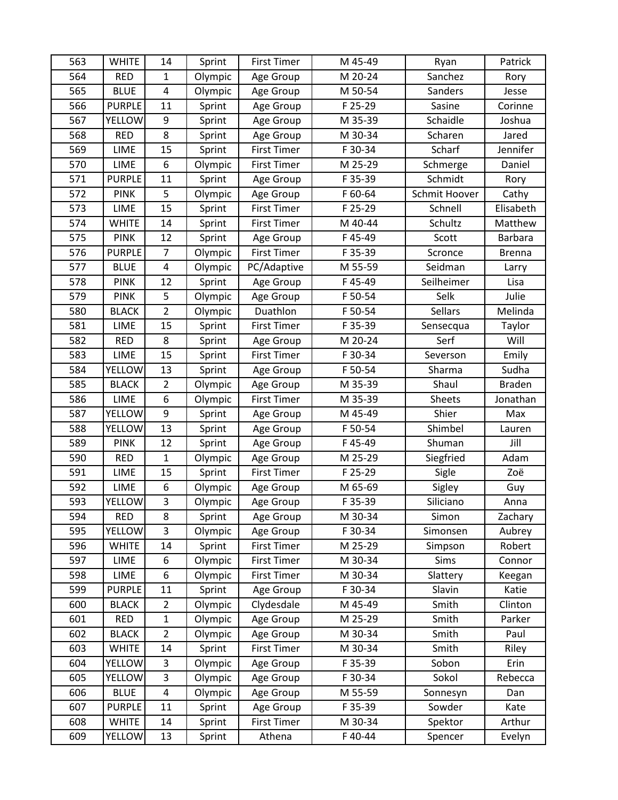| 563 | <b>WHITE</b>  | 14                      | Sprint  | <b>First Timer</b> | M 45-49 | Ryan           | Patrick        |
|-----|---------------|-------------------------|---------|--------------------|---------|----------------|----------------|
| 564 | <b>RED</b>    | $\mathbf{1}$            | Olympic | Age Group          | M 20-24 | Sanchez        | Rory           |
| 565 | <b>BLUE</b>   | $\overline{\mathbf{4}}$ | Olympic | Age Group          | M 50-54 | Sanders        | Jesse          |
| 566 | <b>PURPLE</b> | 11                      | Sprint  | Age Group          | F 25-29 | Sasine         | Corinne        |
| 567 | <b>YELLOW</b> | 9                       | Sprint  | Age Group          | M 35-39 | Schaidle       | Joshua         |
| 568 | <b>RED</b>    | 8                       | Sprint  | Age Group          | M 30-34 | Scharen        | Jared          |
| 569 | LIME          | 15                      | Sprint  | <b>First Timer</b> | F 30-34 | Scharf         | Jennifer       |
| 570 | <b>LIME</b>   | 6                       | Olympic | <b>First Timer</b> | M 25-29 | Schmerge       | Daniel         |
| 571 | <b>PURPLE</b> | 11                      | Sprint  | Age Group          | F 35-39 | Schmidt        | Rory           |
| 572 | <b>PINK</b>   | 5                       | Olympic | Age Group          | F 60-64 | Schmit Hoover  | Cathy          |
| 573 | <b>LIME</b>   | 15                      | Sprint  | <b>First Timer</b> | F 25-29 | Schnell        | Elisabeth      |
| 574 | <b>WHITE</b>  | 14                      | Sprint  | <b>First Timer</b> | M 40-44 | Schultz        | Matthew        |
| 575 | <b>PINK</b>   | 12                      | Sprint  | Age Group          | F45-49  | Scott          | <b>Barbara</b> |
| 576 | <b>PURPLE</b> | $\overline{7}$          | Olympic | <b>First Timer</b> | F 35-39 | Scronce        | <b>Brenna</b>  |
| 577 | <b>BLUE</b>   | 4                       | Olympic | PC/Adaptive        | M 55-59 | Seidman        | Larry          |
| 578 | <b>PINK</b>   | 12                      | Sprint  | Age Group          | F45-49  | Seilheimer     | Lisa           |
| 579 | <b>PINK</b>   | 5                       | Olympic | Age Group          | F 50-54 | Selk           | Julie          |
| 580 | <b>BLACK</b>  | $\overline{2}$          | Olympic | Duathlon           | F 50-54 | <b>Sellars</b> | Melinda        |
| 581 | LIME          | 15                      | Sprint  | <b>First Timer</b> | F 35-39 | Sensecqua      | Taylor         |
| 582 | <b>RED</b>    | 8                       | Sprint  | Age Group          | M 20-24 | Serf           | Will           |
| 583 | <b>LIME</b>   | 15                      | Sprint  | <b>First Timer</b> | F 30-34 | Severson       | Emily          |
| 584 | <b>YELLOW</b> | 13                      | Sprint  | Age Group          | F 50-54 | Sharma         | Sudha          |
| 585 | <b>BLACK</b>  | $\overline{2}$          | Olympic | Age Group          | M 35-39 | Shaul          | <b>Braden</b>  |
| 586 | LIME          | 6                       | Olympic | <b>First Timer</b> | M 35-39 | Sheets         | Jonathan       |
| 587 | YELLOW        | 9                       | Sprint  | Age Group          | M 45-49 | Shier          | Max            |
| 588 | YELLOW        | 13                      | Sprint  | Age Group          | F 50-54 | Shimbel        | Lauren         |
| 589 | <b>PINK</b>   | 12                      | Sprint  | Age Group          | F45-49  | Shuman         | Jill           |
| 590 | <b>RED</b>    | $\mathbf{1}$            | Olympic | Age Group          | M 25-29 | Siegfried      | Adam           |
| 591 | LIME          | 15                      | Sprint  | <b>First Timer</b> | F 25-29 | Sigle          | Zoë            |
| 592 | LIME          | 6                       | Olympic | Age Group          | M 65-69 | Sigley         | Guy            |
| 593 | <b>YELLOW</b> | 3                       | Olympic | Age Group          | F 35-39 | Siliciano      | Anna           |
| 594 | <b>RED</b>    | 8                       | Sprint  | Age Group          | M 30-34 | Simon          | Zachary        |
| 595 | <b>YELLOW</b> | 3                       | Olympic | Age Group          | F 30-34 | Simonsen       | Aubrey         |
| 596 | <b>WHITE</b>  | 14                      | Sprint  | First Timer        | M 25-29 | Simpson        | Robert         |
| 597 | <b>LIME</b>   | 6                       | Olympic | <b>First Timer</b> | M 30-34 | Sims           | Connor         |
| 598 | LIME          | 6                       | Olympic | <b>First Timer</b> | M 30-34 | Slattery       | Keegan         |
| 599 | <b>PURPLE</b> | 11                      | Sprint  | Age Group          | F 30-34 | Slavin         | Katie          |
| 600 | <b>BLACK</b>  | $\overline{2}$          | Olympic | Clydesdale         | M 45-49 | Smith          | Clinton        |
| 601 | <b>RED</b>    | $\mathbf{1}$            | Olympic | Age Group          | M 25-29 | Smith          | Parker         |
| 602 | <b>BLACK</b>  | $\overline{2}$          | Olympic | Age Group          | M 30-34 | Smith          | Paul           |
| 603 | <b>WHITE</b>  | 14                      | Sprint  | <b>First Timer</b> | M 30-34 | Smith          | Riley          |
| 604 | YELLOW        | 3                       | Olympic | Age Group          | F 35-39 | Sobon          | Erin           |
| 605 | <b>YELLOW</b> | 3                       | Olympic | Age Group          | F 30-34 | Sokol          | Rebecca        |
| 606 | <b>BLUE</b>   | 4                       | Olympic | Age Group          | M 55-59 | Sonnesyn       | Dan            |
| 607 | <b>PURPLE</b> | 11                      | Sprint  | Age Group          | F 35-39 | Sowder         | Kate           |
| 608 | <b>WHITE</b>  | 14                      | Sprint  | First Timer        | M 30-34 | Spektor        | Arthur         |
| 609 | <b>YELLOW</b> | 13                      | Sprint  | Athena             | F40-44  | Spencer        | Evelyn         |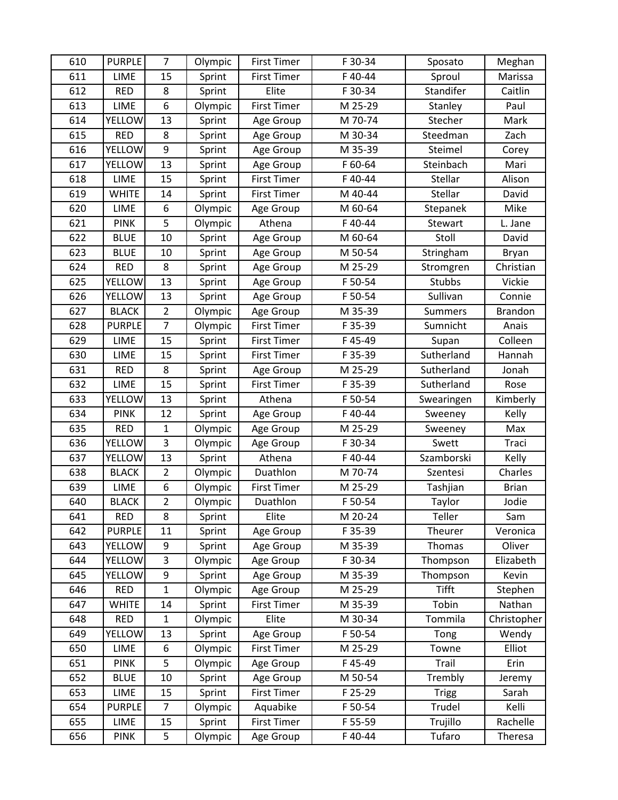| 610 | <b>PURPLE</b> | $\overline{7}$ | Olympic | <b>First Timer</b> | F 30-34 | Sposato        | Meghan         |
|-----|---------------|----------------|---------|--------------------|---------|----------------|----------------|
| 611 | <b>LIME</b>   | 15             | Sprint  | <b>First Timer</b> | F 40-44 | Sproul         | Marissa        |
| 612 | <b>RED</b>    | 8              | Sprint  | Elite              | F 30-34 | Standifer      | Caitlin        |
| 613 | LIME          | 6              | Olympic | <b>First Timer</b> | M 25-29 | Stanley        | Paul           |
| 614 | <b>YELLOW</b> | 13             | Sprint  | Age Group          | M 70-74 | Stecher        | Mark           |
| 615 | <b>RED</b>    | 8              | Sprint  | Age Group          | M 30-34 | Steedman       | Zach           |
| 616 | YELLOW        | 9              | Sprint  | Age Group          | M 35-39 | Steimel        | Corey          |
| 617 | <b>YELLOW</b> | 13             | Sprint  | Age Group          | F 60-64 | Steinbach      | Mari           |
| 618 | LIME          | 15             | Sprint  | <b>First Timer</b> | F40-44  | Stellar        | Alison         |
| 619 | <b>WHITE</b>  | 14             | Sprint  | <b>First Timer</b> | M 40-44 | Stellar        | David          |
| 620 | LIME          | 6              | Olympic | Age Group          | M 60-64 | Stepanek       | Mike           |
| 621 | <b>PINK</b>   | 5              | Olympic | Athena             | F40-44  | Stewart        | L. Jane        |
| 622 | <b>BLUE</b>   | 10             | Sprint  | Age Group          | M 60-64 | Stoll          | David          |
| 623 | <b>BLUE</b>   | 10             | Sprint  | Age Group          | M 50-54 | Stringham      | Bryan          |
| 624 | <b>RED</b>    | 8              | Sprint  | Age Group          | M 25-29 | Stromgren      | Christian      |
| 625 | <b>YELLOW</b> | 13             | Sprint  | Age Group          | F 50-54 | <b>Stubbs</b>  | Vickie         |
| 626 | <b>YELLOW</b> | 13             | Sprint  | Age Group          | F 50-54 | Sullivan       | Connie         |
| 627 | <b>BLACK</b>  | $\overline{2}$ | Olympic | Age Group          | M 35-39 | <b>Summers</b> | <b>Brandon</b> |
| 628 | <b>PURPLE</b> | $\overline{7}$ | Olympic | <b>First Timer</b> | F 35-39 | Sumnicht       | Anais          |
| 629 | LIME          | 15             | Sprint  | <b>First Timer</b> | F45-49  | Supan          | Colleen        |
| 630 | <b>LIME</b>   | 15             | Sprint  | <b>First Timer</b> | F 35-39 | Sutherland     | Hannah         |
| 631 | <b>RED</b>    | 8              | Sprint  | Age Group          | M 25-29 | Sutherland     | Jonah          |
| 632 | LIME          | 15             | Sprint  | <b>First Timer</b> | F 35-39 | Sutherland     | Rose           |
| 633 | <b>YELLOW</b> | 13             | Sprint  | Athena             | F 50-54 | Swearingen     | Kimberly       |
| 634 | <b>PINK</b>   | 12             | Sprint  | Age Group          | F40-44  | Sweeney        | Kelly          |
| 635 | <b>RED</b>    | $\mathbf{1}$   | Olympic | Age Group          | M 25-29 | Sweeney        | Max            |
| 636 | <b>YELLOW</b> | 3              | Olympic | Age Group          | F 30-34 | Swett          | Traci          |
| 637 | <b>YELLOW</b> | 13             | Sprint  | Athena             | F40-44  | Szamborski     | Kelly          |
| 638 | <b>BLACK</b>  | $\overline{2}$ | Olympic | Duathlon           | M 70-74 | Szentesi       | Charles        |
| 639 | LIME          | 6              | Olympic | <b>First Timer</b> | M 25-29 | Tashjian       | <b>Brian</b>   |
| 640 | <b>BLACK</b>  | $\overline{2}$ | Olympic | Duathlon           | F 50-54 | Taylor         | Jodie          |
| 641 | <b>RED</b>    | 8              | Sprint  | Elite              | M 20-24 | Teller         | Sam            |
| 642 | <b>PURPLE</b> | 11             | Sprint  | Age Group          | F 35-39 | Theurer        | Veronica       |
| 643 | <b>YELLOW</b> | 9              | Sprint  | Age Group          | M 35-39 | Thomas         | Oliver         |
| 644 | <b>YELLOW</b> | 3              | Olympic | Age Group          | F 30-34 | Thompson       | Elizabeth      |
| 645 | <b>YELLOW</b> | 9              | Sprint  | Age Group          | M 35-39 | Thompson       | Kevin          |
| 646 | <b>RED</b>    | $\mathbf{1}$   | Olympic | Age Group          | M 25-29 | <b>Tifft</b>   | Stephen        |
| 647 | <b>WHITE</b>  | 14             | Sprint  | <b>First Timer</b> | M 35-39 | Tobin          | Nathan         |
| 648 | <b>RED</b>    | $\mathbf{1}$   | Olympic | Elite              | M 30-34 | Tommila        | Christopher    |
| 649 | <b>YELLOW</b> | 13             | Sprint  | Age Group          | F 50-54 | Tong           | Wendy          |
| 650 | LIME          | 6              | Olympic | First Timer        | M 25-29 | Towne          | Elliot         |
| 651 | <b>PINK</b>   | 5              | Olympic | Age Group          | F45-49  | Trail          | Erin           |
| 652 | <b>BLUE</b>   | 10             | Sprint  | Age Group          | M 50-54 | Trembly        | Jeremy         |
| 653 | LIME          | 15             | Sprint  | <b>First Timer</b> | F 25-29 | <b>Trigg</b>   | Sarah          |
| 654 | <b>PURPLE</b> | $\overline{7}$ | Olympic | Aquabike           | F 50-54 | Trudel         | Kelli          |
| 655 | LIME          | 15             | Sprint  | First Timer        | F 55-59 | Trujillo       | Rachelle       |
| 656 | <b>PINK</b>   | 5              | Olympic | Age Group          | F40-44  | Tufaro         | Theresa        |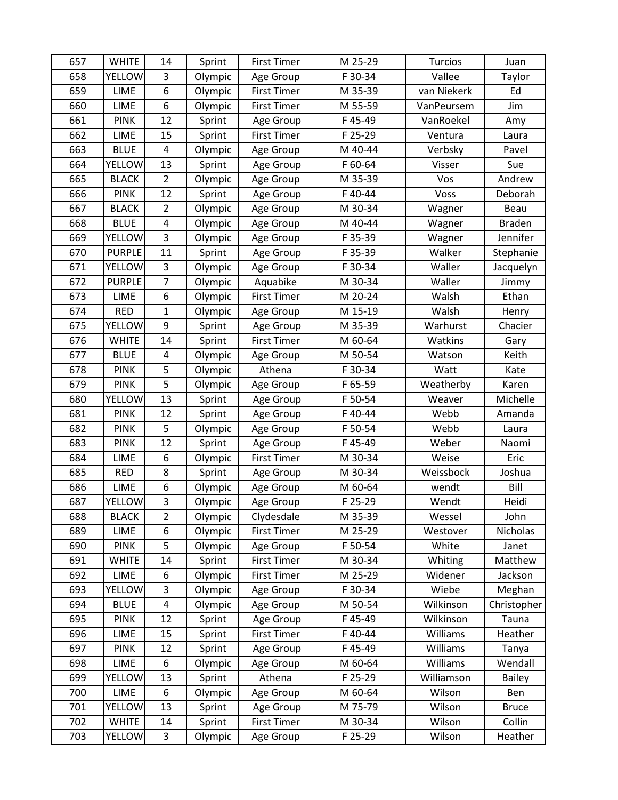| 657 | <b>WHITE</b>  | 14                      | Sprint  | <b>First Timer</b> | M 25-29 | <b>Turcios</b> | Juan          |
|-----|---------------|-------------------------|---------|--------------------|---------|----------------|---------------|
| 658 | <b>YELLOW</b> | 3                       | Olympic | Age Group          | F 30-34 | Vallee         | Taylor        |
| 659 | LIME          | 6                       | Olympic | <b>First Timer</b> | M 35-39 | van Niekerk    | Ed            |
| 660 | LIME          | 6                       | Olympic | <b>First Timer</b> | M 55-59 | VanPeursem     | Jim           |
| 661 | <b>PINK</b>   | 12                      | Sprint  | Age Group          | F45-49  | VanRoekel      | Amy           |
| 662 | <b>LIME</b>   | 15                      | Sprint  | <b>First Timer</b> | F 25-29 | Ventura        | Laura         |
| 663 | <b>BLUE</b>   | $\overline{\mathbf{4}}$ | Olympic | Age Group          | M 40-44 | Verbsky        | Pavel         |
| 664 | YELLOW        | 13                      | Sprint  | Age Group          | F 60-64 | Visser         | Sue           |
| 665 | <b>BLACK</b>  | $\overline{2}$          | Olympic | Age Group          | M 35-39 | Vos            | Andrew        |
| 666 | <b>PINK</b>   | 12                      | Sprint  | Age Group          | F40-44  | Voss           | Deborah       |
| 667 | <b>BLACK</b>  | $\overline{2}$          | Olympic | Age Group          | M 30-34 | Wagner         | Beau          |
| 668 | <b>BLUE</b>   | $\overline{\mathbf{4}}$ | Olympic | Age Group          | M 40-44 | Wagner         | <b>Braden</b> |
| 669 | <b>YELLOW</b> | 3                       | Olympic | Age Group          | F 35-39 | Wagner         | Jennifer      |
| 670 | <b>PURPLE</b> | 11                      | Sprint  | Age Group          | F 35-39 | Walker         | Stephanie     |
| 671 | <b>YELLOW</b> | 3                       | Olympic | Age Group          | F 30-34 | Waller         | Jacquelyn     |
| 672 | <b>PURPLE</b> | $\overline{7}$          | Olympic | Aquabike           | M 30-34 | Waller         | Jimmy         |
| 673 | LIME          | 6                       | Olympic | <b>First Timer</b> | M 20-24 | Walsh          | Ethan         |
| 674 | <b>RED</b>    | $\mathbf{1}$            | Olympic | Age Group          | M 15-19 | Walsh          | Henry         |
| 675 | <b>YELLOW</b> | 9                       | Sprint  | Age Group          | M 35-39 | Warhurst       | Chacier       |
| 676 | <b>WHITE</b>  | 14                      | Sprint  | <b>First Timer</b> | M 60-64 | Watkins        | Gary          |
| 677 | <b>BLUE</b>   | 4                       | Olympic | Age Group          | M 50-54 | Watson         | Keith         |
| 678 | <b>PINK</b>   | 5                       | Olympic | Athena             | F 30-34 | Watt           | Kate          |
| 679 | <b>PINK</b>   | 5                       | Olympic | Age Group          | F 65-59 | Weatherby      | Karen         |
| 680 | <b>YELLOW</b> | 13                      | Sprint  | Age Group          | F 50-54 | Weaver         | Michelle      |
| 681 | <b>PINK</b>   | 12                      | Sprint  | Age Group          | F 40-44 | Webb           | Amanda        |
| 682 | <b>PINK</b>   | 5                       | Olympic | Age Group          | F 50-54 | Webb           | Laura         |
| 683 | <b>PINK</b>   | 12                      | Sprint  | Age Group          | F45-49  | Weber          | Naomi         |
| 684 | LIME          | 6                       | Olympic | <b>First Timer</b> | M 30-34 | Weise          | Eric          |
| 685 | <b>RED</b>    | 8                       | Sprint  | Age Group          | M 30-34 | Weissbock      | Joshua        |
| 686 | LIME          | 6                       | Olympic | Age Group          | M 60-64 | wendt          | Bill          |
| 687 | <b>YELLOW</b> | 3                       | Olympic | Age Group          | F 25-29 | Wendt          | Heidi         |
| 688 | <b>BLACK</b>  | $\overline{2}$          | Olympic | Clydesdale         | M 35-39 | Wessel         | John          |
| 689 | LIME          | 6                       | Olympic | First Timer        | M 25-29 | Westover       | Nicholas      |
| 690 | <b>PINK</b>   | 5                       | Olympic | Age Group          | F 50-54 | White          | Janet         |
| 691 | <b>WHITE</b>  | 14                      | Sprint  | <b>First Timer</b> | M 30-34 | Whiting        | Matthew       |
| 692 | LIME          | 6                       | Olympic | <b>First Timer</b> | M 25-29 | Widener        | Jackson       |
| 693 | <b>YELLOW</b> | 3                       | Olympic | Age Group          | F 30-34 | Wiebe          | Meghan        |
| 694 | <b>BLUE</b>   | $\overline{\mathbf{4}}$ | Olympic | Age Group          | M 50-54 | Wilkinson      | Christopher   |
| 695 | <b>PINK</b>   | 12                      | Sprint  | Age Group          | F45-49  | Wilkinson      | Tauna         |
| 696 | <b>LIME</b>   | 15                      | Sprint  | <b>First Timer</b> | F40-44  | Williams       | Heather       |
| 697 | <b>PINK</b>   | 12                      | Sprint  | Age Group          | F45-49  | Williams       | Tanya         |
| 698 | <b>LIME</b>   | 6                       | Olympic | Age Group          | M 60-64 | Williams       | Wendall       |
| 699 | YELLOW        | 13                      | Sprint  | Athena             | F 25-29 | Williamson     | Bailey        |
| 700 | LIME          | 6                       | Olympic | Age Group          | M 60-64 | Wilson         | Ben           |
| 701 | <b>YELLOW</b> | 13                      | Sprint  | Age Group          | M 75-79 | Wilson         | <b>Bruce</b>  |
| 702 | <b>WHITE</b>  | 14                      | Sprint  | First Timer        | M 30-34 | Wilson         | Collin        |
| 703 | <b>YELLOW</b> | 3                       | Olympic | Age Group          | F 25-29 | Wilson         | Heather       |